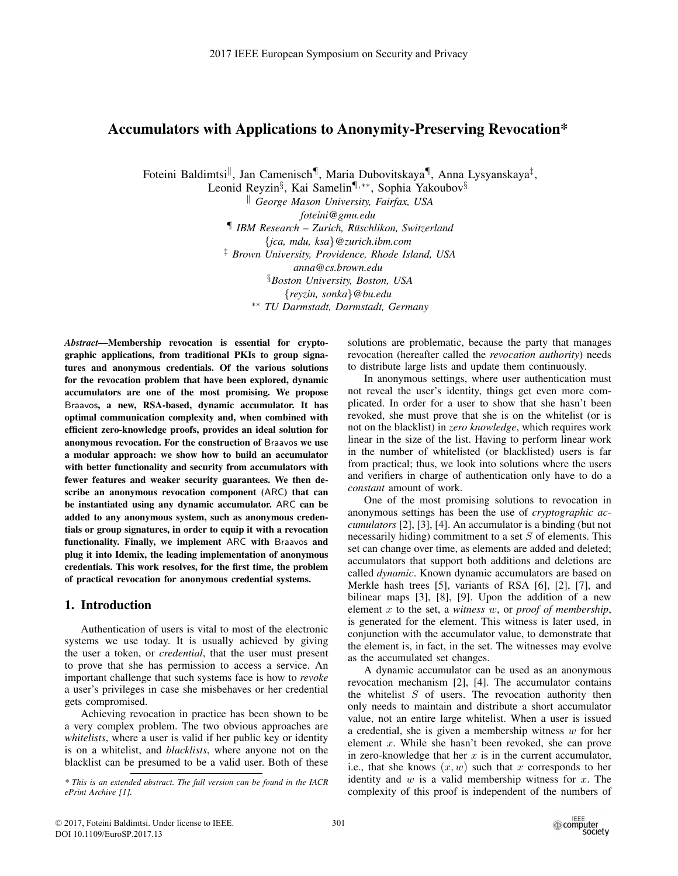# Accumulators with Applications to Anonymity-Preserving Revocation\*

Foteini Baldimtsi<sup>||</sup>, Jan Camenisch<sup>¶</sup>, Maria Dubovitskaya<sup>¶</sup>, Anna Lysyanskaya<sup>‡</sup>,

Leonid Reyzin§, Kai Samelin¶,∗∗, Sophia Yakoubov§ - *George Mason University, Fairfax, USA foteini@gmu.edu* ¶ *IBM Research – Zurich, Ruschlikon, Switzerland ¨* {*jca, mdu, ksa*}*@zurich.ibm.com* ‡ *Brown University, Providence, Rhode Island, USA anna@cs.brown.edu* §*Boston University, Boston, USA* {*reyzin, sonka*}*@bu.edu* ∗∗ *TU Darmstadt, Darmstadt, Germany*

*Abstract*—Membership revocation is essential for cryptographic applications, from traditional PKIs to group signatures and anonymous credentials. Of the various solutions for the revocation problem that have been explored, dynamic accumulators are one of the most promising. We propose Braavos, a new, RSA-based, dynamic accumulator. It has optimal communication complexity and, when combined with efficient zero-knowledge proofs, provides an ideal solution for anonymous revocation. For the construction of Braavos we use a modular approach: we show how to build an accumulator with better functionality and security from accumulators with fewer features and weaker security guarantees. We then describe an anonymous revocation component (ARC) that can be instantiated using any dynamic accumulator. ARC can be added to any anonymous system, such as anonymous credentials or group signatures, in order to equip it with a revocation functionality. Finally, we implement ARC with Braavos and plug it into Idemix, the leading implementation of anonymous credentials. This work resolves, for the first time, the problem of practical revocation for anonymous credential systems.

### 1. Introduction

Authentication of users is vital to most of the electronic systems we use today. It is usually achieved by giving the user a token, or *credential*, that the user must present to prove that she has permission to access a service. An important challenge that such systems face is how to *revoke* a user's privileges in case she misbehaves or her credential gets compromised.

Achieving revocation in practice has been shown to be a very complex problem. The two obvious approaches are *whitelists*, where a user is valid if her public key or identity is on a whitelist, and *blacklists*, where anyone not on the blacklist can be presumed to be a valid user. Both of these solutions are problematic, because the party that manages revocation (hereafter called the *revocation authority*) needs to distribute large lists and update them continuously.

In anonymous settings, where user authentication must not reveal the user's identity, things get even more complicated. In order for a user to show that she hasn't been revoked, she must prove that she is on the whitelist (or is not on the blacklist) in *zero knowledge*, which requires work linear in the size of the list. Having to perform linear work in the number of whitelisted (or blacklisted) users is far from practical; thus, we look into solutions where the users and verifiers in charge of authentication only have to do a *constant* amount of work.

One of the most promising solutions to revocation in anonymous settings has been the use of *cryptographic accumulators* [2], [3], [4]. An accumulator is a binding (but not necessarily hiding) commitment to a set  $S$  of elements. This set can change over time, as elements are added and deleted; accumulators that support both additions and deletions are called *dynamic*. Known dynamic accumulators are based on Merkle hash trees [5], variants of RSA [6], [2], [7], and bilinear maps [3], [8], [9]. Upon the addition of a new element x to the set, a *witness* w, or *proof of membership*, is generated for the element. This witness is later used, in conjunction with the accumulator value, to demonstrate that the element is, in fact, in the set. The witnesses may evolve as the accumulated set changes.

A dynamic accumulator can be used as an anonymous revocation mechanism [2], [4]. The accumulator contains the whitelist  $S$  of users. The revocation authority then only needs to maintain and distribute a short accumulator value, not an entire large whitelist. When a user is issued a credential, she is given a membership witness  $w$  for her element x. While she hasn't been revoked, she can prove in zero-knowledge that her  $x$  is in the current accumulator, i.e., that she knows  $(x, w)$  such that x corresponds to her identity and  $w$  is a valid membership witness for  $x$ . The complexity of this proof is independent of the numbers of

*<sup>\*</sup> This is an extended abstract. The full version can be found in the IACR ePrint Archive [1].*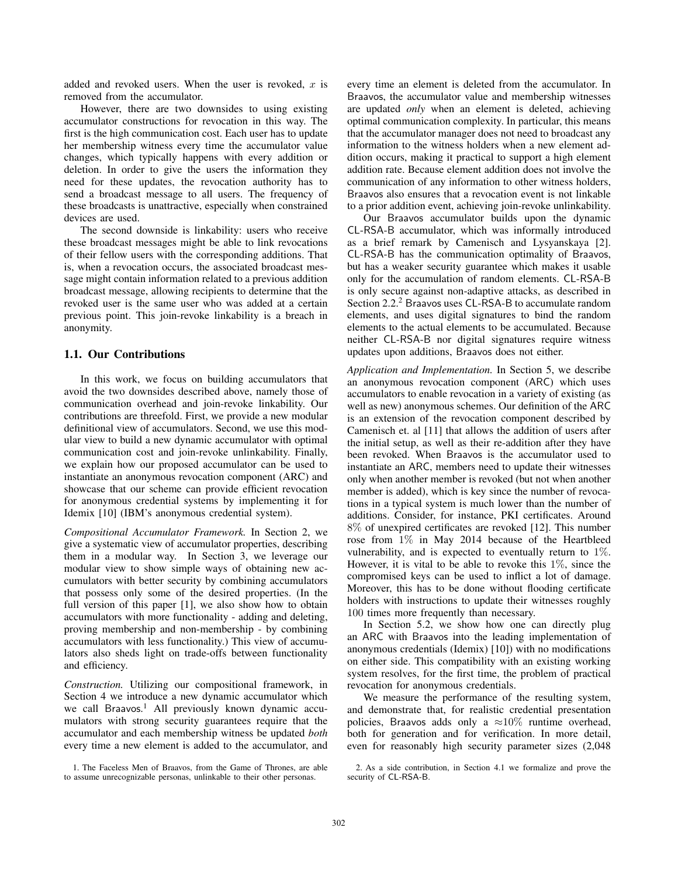added and revoked users. When the user is revoked,  $x$  is removed from the accumulator.

However, there are two downsides to using existing accumulator constructions for revocation in this way. The first is the high communication cost. Each user has to update her membership witness every time the accumulator value changes, which typically happens with every addition or deletion. In order to give the users the information they need for these updates, the revocation authority has to send a broadcast message to all users. The frequency of these broadcasts is unattractive, especially when constrained devices are used.

The second downside is linkability: users who receive these broadcast messages might be able to link revocations of their fellow users with the corresponding additions. That is, when a revocation occurs, the associated broadcast message might contain information related to a previous addition broadcast message, allowing recipients to determine that the revoked user is the same user who was added at a certain previous point. This join-revoke linkability is a breach in anonymity.

### 1.1. Our Contributions

In this work, we focus on building accumulators that avoid the two downsides described above, namely those of communication overhead and join-revoke linkability. Our contributions are threefold. First, we provide a new modular definitional view of accumulators. Second, we use this modular view to build a new dynamic accumulator with optimal communication cost and join-revoke unlinkability. Finally, we explain how our proposed accumulator can be used to instantiate an anonymous revocation component (ARC) and showcase that our scheme can provide efficient revocation for anonymous credential systems by implementing it for Idemix [10] (IBM's anonymous credential system).

*Compositional Accumulator Framework.* In Section 2, we give a systematic view of accumulator properties, describing them in a modular way. In Section 3, we leverage our modular view to show simple ways of obtaining new accumulators with better security by combining accumulators that possess only some of the desired properties. (In the full version of this paper [1], we also show how to obtain accumulators with more functionality - adding and deleting, proving membership and non-membership - by combining accumulators with less functionality.) This view of accumulators also sheds light on trade-offs between functionality and efficiency.

*Construction.* Utilizing our compositional framework, in Section 4 we introduce a new dynamic accumulator which we call Braavos. <sup>1</sup> All previously known dynamic accumulators with strong security guarantees require that the accumulator and each membership witness be updated *both* every time a new element is added to the accumulator, and

1. The Faceless Men of Braavos, from the Game of Thrones, are able to assume unrecognizable personas, unlinkable to their other personas.

every time an element is deleted from the accumulator. In Braavos, the accumulator value and membership witnesses are updated *only* when an element is deleted, achieving optimal communication complexity. In particular, this means that the accumulator manager does not need to broadcast any information to the witness holders when a new element addition occurs, making it practical to support a high element addition rate. Because element addition does not involve the communication of any information to other witness holders, Braavos also ensures that a revocation event is not linkable to a prior addition event, achieving join-revoke unlinkability.

Our Braavos accumulator builds upon the dynamic CL-RSA-B accumulator, which was informally introduced as a brief remark by Camenisch and Lysyanskaya [2]. CL-RSA-B has the communication optimality of Braavos, but has a weaker security guarantee which makes it usable only for the accumulation of random elements. CL-RSA-B is only secure against non-adaptive attacks, as described in Section 2.2.<sup>2</sup> Braavos uses CL-RSA-B to accumulate random elements, and uses digital signatures to bind the random elements to the actual elements to be accumulated. Because neither CL-RSA-B nor digital signatures require witness updates upon additions, Braavos does not either.

*Application and Implementation.* In Section 5, we describe an anonymous revocation component (ARC) which uses accumulators to enable revocation in a variety of existing (as well as new) anonymous schemes. Our definition of the ARC is an extension of the revocation component described by Camenisch et. al [11] that allows the addition of users after the initial setup, as well as their re-addition after they have been revoked. When Braavos is the accumulator used to instantiate an ARC, members need to update their witnesses only when another member is revoked (but not when another member is added), which is key since the number of revocations in a typical system is much lower than the number of additions. Consider, for instance, PKI certificates. Around 8% of unexpired certificates are revoked [12]. This number rose from 1% in May 2014 because of the Heartbleed vulnerability, and is expected to eventually return to  $1\%$ . However, it is vital to be able to revoke this  $1\%$ , since the compromised keys can be used to inflict a lot of damage. Moreover, this has to be done without flooding certificate holders with instructions to update their witnesses roughly 100 times more frequently than necessary.

In Section 5.2, we show how one can directly plug an ARC with Braavos into the leading implementation of anonymous credentials (Idemix) [10]) with no modifications on either side. This compatibility with an existing working system resolves, for the first time, the problem of practical revocation for anonymous credentials.

We measure the performance of the resulting system, and demonstrate that, for realistic credential presentation policies, Braavos adds only a  $\approx 10\%$  runtime overhead, both for generation and for verification. In more detail, even for reasonably high security parameter sizes (2,048

<sup>2.</sup> As a side contribution, in Section 4.1 we formalize and prove the security of CL-RSA-B.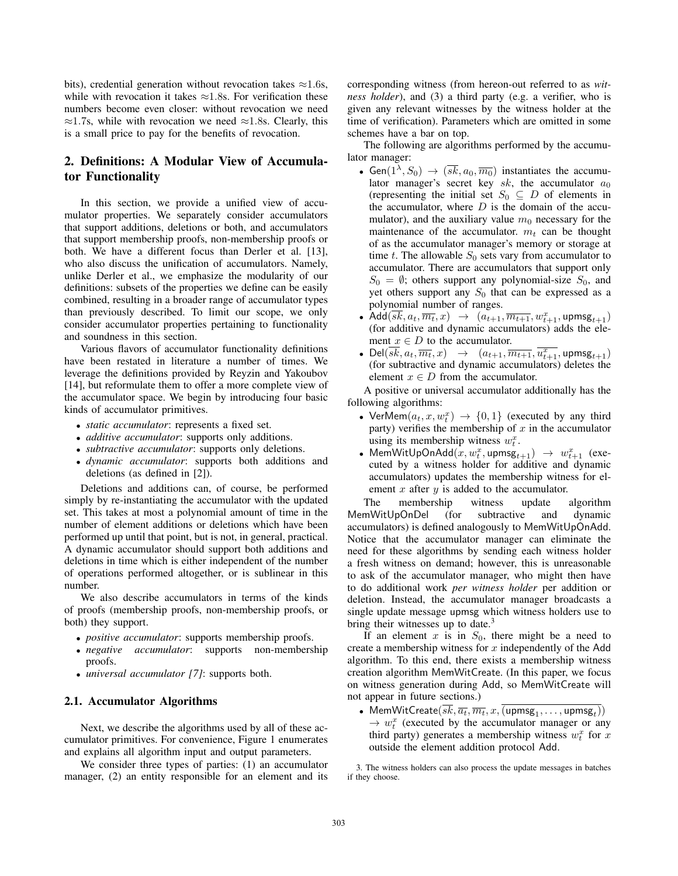bits), credential generation without revocation takes  $\approx 1.6$ s, while with revocation it takes  $\approx$ 1.8s. For verification these numbers become even closer: without revocation we need  $\approx$ 1.7s, while with revocation we need  $\approx$ 1.8s. Clearly, this is a small price to pay for the benefits of revocation.

# 2. Definitions: A Modular View of Accumulator Functionality

In this section, we provide a unified view of accumulator properties. We separately consider accumulators that support additions, deletions or both, and accumulators that support membership proofs, non-membership proofs or both. We have a different focus than Derler et al. [13], who also discuss the unification of accumulators. Namely, unlike Derler et al., we emphasize the modularity of our definitions: subsets of the properties we define can be easily combined, resulting in a broader range of accumulator types than previously described. To limit our scope, we only consider accumulator properties pertaining to functionality and soundness in this section.

Various flavors of accumulator functionality definitions have been restated in literature a number of times. We leverage the definitions provided by Reyzin and Yakoubov [14], but reformulate them to offer a more complete view of the accumulator space. We begin by introducing four basic kinds of accumulator primitives.

- *static accumulator*: represents a fixed set.
- *additive accumulator*: supports only additions.
- *subtractive accumulator*: supports only deletions.
- *dynamic accumulator*: supports both additions and deletions (as defined in [2]).

Deletions and additions can, of course, be performed simply by re-instantiating the accumulator with the updated set. This takes at most a polynomial amount of time in the number of element additions or deletions which have been performed up until that point, but is not, in general, practical. A dynamic accumulator should support both additions and deletions in time which is either independent of the number of operations performed altogether, or is sublinear in this number.

We also describe accumulators in terms of the kinds of proofs (membership proofs, non-membership proofs, or both) they support.

- *positive accumulator*: supports membership proofs.
- *negative accumulator*: supports non-membership proofs.
- *universal accumulator [7]*: supports both.

#### 2.1. Accumulator Algorithms

Next, we describe the algorithms used by all of these accumulator primitives. For convenience, Figure 1 enumerates and explains all algorithm input and output parameters.

We consider three types of parties: (1) an accumulator manager, (2) an entity responsible for an element and its

corresponding witness (from hereon-out referred to as *witness holder*), and (3) a third party (e.g. a verifier, who is given any relevant witnesses by the witness holder at the time of verification). Parameters which are omitted in some schemes have a bar on top.

The following are algorithms performed by the accumulator manager:

- Gen( $1^{\lambda}$ ,  $S_0$ )  $\rightarrow (\overline{sk}, a_0, \overline{m_0})$  instantiates the accumulator manager's secret key  $sk$ , the accumulator  $a_0$ (representing the initial set  $S_0 \subseteq D$  of elements in the accumulator, where  $D$  is the domain of the accumulator), and the auxiliary value  $m_0$  necessary for the maintenance of the accumulator.  $m_t$  can be thought of as the accumulator manager's memory or storage at time t. The allowable  $S_0$  sets vary from accumulator to accumulator. There are accumulators that support only  $S_0 = \emptyset$ ; others support any polynomial-size  $S_0$ , and yet others support any  $S_0$  that can be expressed as a polynomial number of ranges.
- Add $(\overline{sk}, a_t, \overline{m_t}, x) \rightarrow (a_{t+1}, \overline{m_{t+1}}, w_{t+1}^x, \mathsf{upmsg}_{t+1})$ (for additive and dynamic accumulators) adds the element  $x \in D$  to the accumulator.
- Del $(\overline{sk}, a_t, \overline{m_t}, x) \rightarrow (a_{t+1}, \overline{m_{t+1}}, \overline{u_{t+1}^x}, \mathsf{upmsg}_{t+1})$ (for subtractive and dynamic accumulators) deletes the element  $x \in D$  from the accumulator.

A positive or universal accumulator additionally has the following algorithms:

- VerMem $(a_t, x, w_t^x) \rightarrow \{0, 1\}$  (executed by any third party) verifies the membership of  $x$  in the accumulator using its membership witness  $w_t^x$ .
- MemWitUpOnAdd $(x, w_t^x, \text{upmsg}_{t+1}) \rightarrow w_{t+1}^x$  (executed by a witness holder for additive and dynamic accumulators) updates the membership witness for element  $x$  after  $y$  is added to the accumulator.

The membership witness update algorithm MemWitUpOnDel (for subtractive and dynamic accumulators) is defined analogously to MemWitUpOnAdd. Notice that the accumulator manager can eliminate the need for these algorithms by sending each witness holder a fresh witness on demand; however, this is unreasonable to ask of the accumulator manager, who might then have to do additional work *per witness holder* per addition or deletion. Instead, the accumulator manager broadcasts a single update message upmsg which witness holders use to bring their witnesses up to date. $3$ 

If an element x is in  $S_0$ , there might be a need to create a membership witness for  $x$  independently of the Add algorithm. To this end, there exists a membership witness creation algorithm MemWitCreate. (In this paper, we focus on witness generation during Add, so MemWitCreate will not appear in future sections.)

• MemWitCreate $(\overline{sk}, \overline{a_t}, \overline{m_t}, x, \overline{(\mathsf{upmsg}_1, \dots, \mathsf{upmsg}_t)})$  $\rightarrow w_t^x$  (executed by the accumulator manager or any third party) generates a membership witness  $w_t^x$  for x outside the element addition protocol Add.

3. The witness holders can also process the update messages in batches if they choose.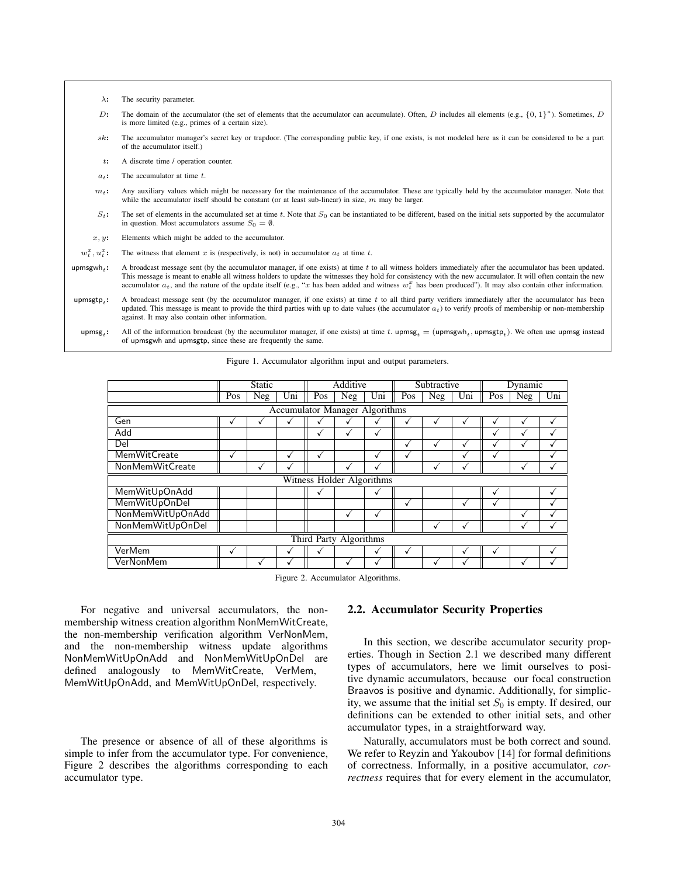- $\lambda$ : The security parameter.
- D: The domain of the accumulator (the set of elements that the accumulator can accumulate). Often, D includes all elements (e.g.,  $\{0, 1\}^*$ ). Sometimes, D is more limited (e.g., primes of a certain size).
- $sk:$  The accumulator manager's secret key or trapdoor. (The corresponding public key, if one exists, is not modeled here as it can be considered to be a part of the accumulator itself.)
- t: A discrete time / operation counter.
- $a_{t}$ : The accumulator at time t.
- $m_t$ : Any auxiliary values which might be necessary for the maintenance of the accumulator. These are typically held by the accumulator manager. Note that while the accumulator itself should be constant (or at least sub-linear) in size,  $m$  may be larger.
- $S_t$ : The set of elements in the accumulated set at time t. Note that  $S_0$  can be instantiated to be different, based on the initial sets supported by the accumulator in question. Most accumulators assume  $S_0 = \emptyset$ .
- $x, y$ : Elements which might be added to the accumulator.
- $w_t^x, u_t^x$ The witness that element  $x$  is (respectively, is not) in accumulator  $a_t$  at time  $t$ .
- $u_{\text{p}}$  are A broadcast message sent (by the accumulator manager, if one exists) at time t to all witness holders immediately after the accumulator has been updated. This message is meant to enable all witness holders to update the witnesses they hold for consistency with the new accumulator. It will often contain the new accumulator  $a_t$ , and the nature of the update itself (e.g., "x has been added and witness  $w_t^x$  has been produced"). It may also contain other information.
- $u$ pmsgtp $,$ : A broadcast message sent (by the accumulator manager, if one exists) at time  $t$  to all third party verifiers immediately after the accumulator has been updated. This message is meant to provide the third parties with up to date values (the accumulator  $a_t$ ) to verify proofs of membership or non-membership against. It may also contain other information.
	- upmsg<sub>t</sub>: All of the information broadcast (by the accumulator manager, if one exists) at time t. upmsg<sub>t</sub> = (upmsgwh<sub>t</sub>, upmsgtp<sub>t</sub>). We often use upmsg instead of upmsgwh and upmsgtp, since these are frequently the same.

|                                       | Static |     |     | Additive |     |     | Subtractive |     |     | Dynamic      |     |     |
|---------------------------------------|--------|-----|-----|----------|-----|-----|-------------|-----|-----|--------------|-----|-----|
|                                       | Pos    | Neg | Uni | Pos      | Neg | Uni | Pos         | Neg | Uni | Pos          | Neg | Uni |
| <b>Accumulator Manager Algorithms</b> |        |     |     |          |     |     |             |     |     |              |     |     |
| Gen                                   | √      | v   |     |          |     |     | v           |     | √   | v            | √   | ✓   |
| Add                                   |        |     |     | √        |     | ✓   |             |     |     | $\checkmark$ | √   | ✓   |
| Del                                   |        |     |     |          |     |     | √           | V   | √   | v            | √   | √   |
| <b>MemWitCreate</b>                   | √      |     | √   | √        |     | √   | √           |     | √   |              |     | √   |
| NonMemWitCreate                       |        | v   |     |          |     | √   |             |     | √   |              | √   |     |
| Witness Holder Algorithms             |        |     |     |          |     |     |             |     |     |              |     |     |
| MemWitUpOnAdd                         |        |     |     | √        |     | √   |             |     |     | √            |     | ✓   |
| MemWitUpOnDel                         |        |     |     |          |     |     | √           |     | √   |              |     |     |
| NonMemWitUpOnAdd                      |        |     |     |          |     | √   |             |     |     |              | √   | √   |
| NonMemWitUpOnDel                      |        |     |     |          |     |     |             | V   | √   |              | √   | √   |
| Third Party Algorithms                |        |     |     |          |     |     |             |     |     |              |     |     |
| VerMem                                | √      |     | ✓   | √        |     | ✓   | √           |     | √   | √            |     | ✓   |
| <b>VerNonMem</b>                      |        | v   |     |          |     | √   |             |     | √   |              | v   |     |

Figure 1. Accumulator algorithm input and output parameters.

Figure 2. Accumulator Algorithms.

For negative and universal accumulators, the nonmembership witness creation algorithm NonMemWitCreate, the non-membership verification algorithm VerNonMem, and the non-membership witness update algorithms NonMemWitUpOnAdd and NonMemWitUpOnDel are defined analogously to MemWitCreate, VerMem, MemWitUpOnAdd, and MemWitUpOnDel, respectively.

The presence or absence of all of these algorithms is simple to infer from the accumulator type. For convenience, Figure 2 describes the algorithms corresponding to each accumulator type.

#### 2.2. Accumulator Security Properties

In this section, we describe accumulator security properties. Though in Section 2.1 we described many different types of accumulators, here we limit ourselves to positive dynamic accumulators, because our focal construction Braavos is positive and dynamic. Additionally, for simplicity, we assume that the initial set  $S_0$  is empty. If desired, our definitions can be extended to other initial sets, and other accumulator types, in a straightforward way.

Naturally, accumulators must be both correct and sound. We refer to Reyzin and Yakoubov [14] for formal definitions of correctness. Informally, in a positive accumulator, *correctness* requires that for every element in the accumulator,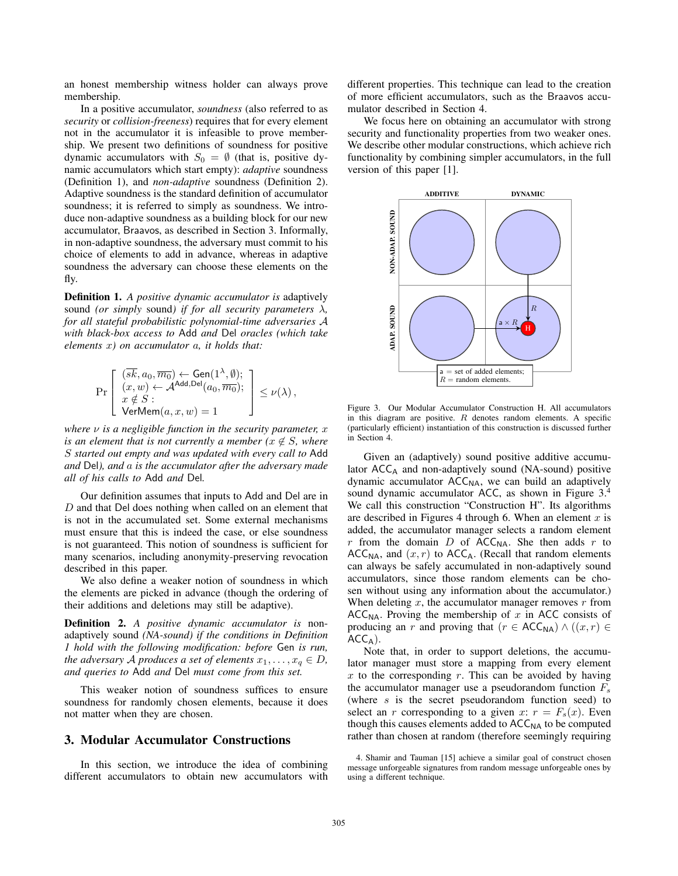an honest membership witness holder can always prove membership.

In a positive accumulator, *soundness* (also referred to as *security* or *collision-freeness*) requires that for every element not in the accumulator it is infeasible to prove membership. We present two definitions of soundness for positive dynamic accumulators with  $S_0 = \emptyset$  (that is, positive dynamic accumulators which start empty): *adaptive* soundness (Definition 1), and *non-adaptive* soundness (Definition 2). Adaptive soundness is the standard definition of accumulator soundness; it is referred to simply as soundness. We introduce non-adaptive soundness as a building block for our new accumulator, Braavos, as described in Section 3. Informally, in non-adaptive soundness, the adversary must commit to his choice of elements to add in advance, whereas in adaptive soundness the adversary can choose these elements on the fly.

Definition 1. *A positive dynamic accumulator is* adaptively sound *(or simply* sound*) if for all security parameters* λ*, for all stateful probabilistic polynomial-time adversaries* A *with black-box access to* Add *and* Del *oracles (which take elements* x*) on accumulator* a*, it holds that:*

$$
\Pr\left[\begin{array}{l} (\overline{sk}, a_0, \overline{m_0}) \leftarrow \text{Gen}(1^\lambda, \emptyset); \\ (x, w) \leftarrow \mathcal{A}^{\text{Add}, \text{Del}}(a_0, \overline{m_0}); \\ x \notin S: \\ \text{VerMem}(a, x, w) = 1 \end{array}\right] \leq \nu(\lambda)\,,
$$

*where* ν *is a negligible function in the security parameter,* x *is an element that is not currently a member (* $x \notin S$ *, where* S *started out empty and was updated with every call to* Add *and* Del*), and* a *is the accumulator after the adversary made all of his calls to* Add *and* Del*.*

Our definition assumes that inputs to Add and Del are in D and that Del does nothing when called on an element that is not in the accumulated set. Some external mechanisms must ensure that this is indeed the case, or else soundness is not guaranteed. This notion of soundness is sufficient for many scenarios, including anonymity-preserving revocation described in this paper.

We also define a weaker notion of soundness in which the elements are picked in advance (though the ordering of their additions and deletions may still be adaptive).

Definition 2. *A positive dynamic accumulator is* nonadaptively sound *(NA-sound) if the conditions in Definition 1 hold with the following modification: before* Gen *is run, the adversary* A *produces a set of elements*  $x_1, \ldots, x_q \in D$ , *and queries to* Add *and* Del *must come from this set.*

This weaker notion of soundness suffices to ensure soundness for randomly chosen elements, because it does not matter when they are chosen.

#### 3. Modular Accumulator Constructions

In this section, we introduce the idea of combining different accumulators to obtain new accumulators with different properties. This technique can lead to the creation of more efficient accumulators, such as the Braavos accumulator described in Section 4.

We focus here on obtaining an accumulator with strong security and functionality properties from two weaker ones. We describe other modular constructions, which achieve rich functionality by combining simpler accumulators, in the full version of this paper [1].



Figure 3. Our Modular Accumulator Construction H. All accumulators in this diagram are positive.  $R$  denotes random elements. A specific (particularly efficient) instantiation of this construction is discussed further in Section 4.

Given an (adaptively) sound positive additive accumulator  $ACC<sub>A</sub>$  and non-adaptively sound (NA-sound) positive dynamic accumulator  $ACC_{NA}$ , we can build an adaptively sound dynamic accumulator ACC, as shown in Figure 3.<sup>4</sup> We call this construction "Construction H". Its algorithms are described in Figures 4 through 6. When an element  $x$  is added, the accumulator manager selects a random element  $r$  from the domain  $D$  of ACC<sub>NA</sub>. She then adds  $r$  to  $ACC_{NA}$ , and  $(x, r)$  to  $ACC_{A}$ . (Recall that random elements can always be safely accumulated in non-adaptively sound accumulators, since those random elements can be chosen without using any information about the accumulator.) When deleting  $x$ , the accumulator manager removes  $r$  from  $ACC<sub>NA</sub>$ . Proving the membership of x in ACC consists of producing an r and proving that ( $r \in \text{ACC}_{\text{NA}}$ )  $\wedge$  ( $(x, r) \in$  $ACC<sub>A</sub>$ ).

Note that, in order to support deletions, the accumulator manager must store a mapping from every element  $x$  to the corresponding  $r$ . This can be avoided by having the accumulator manager use a pseudorandom function  $F_s$ (where s is the secret pseudorandom function seed) to select an r corresponding to a given x:  $r = F_s(x)$ . Even though this causes elements added to ACC<sub>NA</sub> to be computed rather than chosen at random (therefore seemingly requiring

<sup>4.</sup> Shamir and Tauman [15] achieve a similar goal of construct chosen message unforgeable signatures from random message unforgeable ones by using a different technique.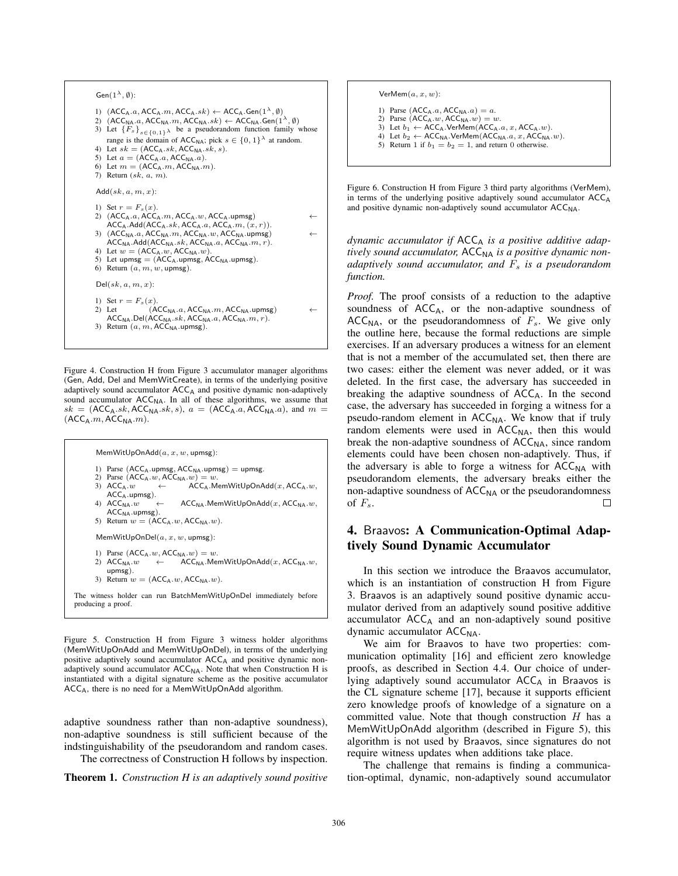$\mathsf{Gen}(1^\lambda,\emptyset)$ : 1)  $(ACC_A.a, ACC_A.m, ACC_A.sk) \leftarrow ACC_A.Gen(1^{\lambda}, \emptyset)$ 2)  $(ACC_{NA}.a, ACC_{NA}.m, ACC_{NA}.sk) \leftarrow ACC_{NA}.Gen(1^{\lambda}, \emptyset)$ 3) Let  ${F_s}_{s \in \{0,1\}}$  be a pseudorandom function family whose range is the domain of  $ACC_{NA}$ ; pick  $s \in \{0, 1\}^{\lambda}$  at random. 4) Let  $sk = (ACC_A.sk, ACC_{NA}.sk, s)$ . 5) Let  $a = (ACC_A.a, ACC_{NA}.a)$ . 6) Let  $m = (ACC_A.m, ACC_{NA}.m)$ . 7) Return  $(s\hat{k}, a, m)$ .  $Add(sk, a, m, x)$ : 1) Set  $r = F_s(x)$ . 2)  $(ACC_A.a, ACC_A.m, ACC_A.w, ACC_A.upmsg)$  ←  $ACC_A. Add(ACC_A.sk, ACC_A.a, ACC_A.m, (x, r)).$ 3)  $(ACC_{NA}.a, ACC_{NA}.m, ACC_{NA}.w, ACC_{NA}.upmsg)$  $ACC_{NA}$ . Add( $ACC_{NA}$ .sk,  $ACC_{NA}$ .a,  $ACC_{NA}$ .m, r). 4) Let  $w = (ACC_A.w, ACC_{NA}.w)$ . 5) Let upmsg =  $(ACC_A.\upmu msg, ACC_{NA}.\upmu msg)$ . 6) Return  $(a, m, w,$  upmsg).  $Del(sk, a, m, x);$ 1) Set  $r = F_s(x)$ .<br>
2) Let (ACC<sub>NA</sub>.a, ACC<sub>NA</sub>.m, ACC<sub>NA</sub>.upmsg) ←<br>
ACC<sub>NA</sub>.Del(ACC<sub>NA</sub>.sk, ACC<sub>NA</sub>.a, ACC<sub>NA</sub>.m, r). ACC<sub>NA</sub>.Del( $\widehat{ACC}_{NA}.sk$ , ACC<sub>NA</sub>.a, ACC<sub>NA</sub>.m, r).<br>3) Return (a, m, ACC<sub>NA</sub>.upmsg).

Figure 4. Construction H from Figure 3 accumulator manager algorithms (Gen, Add, Del and MemWitCreate), in terms of the underlying positive adaptively sound accumulator  $ACC<sub>A</sub>$  and positive dynamic non-adaptively sound accumulator  $ACC_{NA}$ . In all of these algorithms, we assume that  $sk = (ACC_A.sk, ACC_{NA}.sk, s), a = (ACC_A.a, ACC_{NA}.a), and m =$  $(ACC_A.m, ACC_{NA}.m).$ 

MemWitUpOnAdd $(a, x, w,$ upmsg): 1) Parse  $(ACC_A.upmsg, ACC_{NA}.upmsg) = upmsg.$ 2) Parse  $(ACC_A.w, ACC_{NA}.w) = w.$ <br>3)  $ACC_A.w \leftarrow ACC_A.M$  $\widetilde{\mathsf{ACC}}_{\mathsf{A}}.\mathsf{MemWitUpOnAdd}(x,\mathsf{ACC}_{\mathsf{A}}.w,$  $ACC_A.upmsg$ ).<br>ACC<sub>NA</sub>.*w* 4)  $ACC_{NA}.w \leftarrow ACC_{NA}.MemWitUpOnAdd(x, ACC_{NA}.w,$  $ACC<sub>NA</sub>.upmsg$ ). 5) Return  $w = (\text{ACC}_A.w, \text{ACC}_{\text{NA}}.w)$ . MemWitUpOnDel $(a, x, w,$ upmsg): 1) Parse  $(\mathsf{ACC}_\mathsf{A}.w,\mathsf{ACC}_\mathsf{NA}.w) = w.$ <br>2)  $\mathsf{ACC}_\mathsf{NA}.w \leftarrow \mathsf{ACC}_\mathsf{NA}.\mathsf{Me}$  $ACC<sub>NA</sub>$ .MemWitUpOnAdd $(x, ACC<sub>NA</sub>,w,$ upmsg). 3) Return  $w = (ACC_A.w, ACC_{NA}.w)$ . The witness holder can run BatchMemWitUpOnDel immediately before producing a proof.

Figure 5. Construction H from Figure 3 witness holder algorithms (MemWitUpOnAdd and MemWitUpOnDel), in terms of the underlying positive adaptively sound accumulator  $ACC<sub>A</sub>$  and positive dynamic nonadaptively sound accumulator  $ACC_{NA}$ . Note that when Construction H is instantiated with a digital signature scheme as the positive accumulator ACCA, there is no need for a MemWitUpOnAdd algorithm.

adaptive soundness rather than non-adaptive soundness), non-adaptive soundness is still sufficient because of the indstinguishability of the pseudorandom and random cases.

The correctness of Construction H follows by inspection.

Theorem 1. *Construction H is an adaptively sound positive*

 $VerMem(a, x, w)$ : 1) Parse  $(ACC_A.a, ACC_{NA}.a) = a$ . 2) Parse  $(ACC_A.w, ACC_{NA}.w) = w$ . 3) Let  $b_1 \leftarrow \text{ACC}_A.\text{VerMem}(\text{ACC}_A.a, x, \text{ACC}_A.w).$ 4) Let  $b_2 \leftarrow \text{ACC}_{\text{NA}}.\text{VerMem}(\text{ACC}_{\text{NA}}.a, x, \text{ACC}_{\text{NA}}.w)$ . 5) Return 1 if  $b_1 = b_2 = 1$ , and return 0 otherwise.

Figure 6. Construction H from Figure 3 third party algorithms (VerMem), in terms of the underlying positive adaptively sound accumulator ACCA and positive dynamic non-adaptively sound accumulator  $ACC<sub>NA</sub>$ .

*dynamic accumulator if* ACC<sup>A</sup> *is a positive additive adap*tively sound accumulator, ACC<sub>NA</sub> is a positive dynamic non*adaptively sound accumulator, and*  $F_s$  *is a pseudorandom function.*

*Proof.* The proof consists of a reduction to the adaptive soundness of  $ACC<sub>A</sub>$ , or the non-adaptive soundness of  $ACC<sub>NA</sub>$ , or the pseudorandomness of  $F_s$ . We give only the outline here, because the formal reductions are simple exercises. If an adversary produces a witness for an element that is not a member of the accumulated set, then there are two cases: either the element was never added, or it was deleted. In the first case, the adversary has succeeded in breaking the adaptive soundness of  $ACC<sub>A</sub>$ . In the second case, the adversary has succeeded in forging a witness for a pseudo-random element in  $ACC_{NA}$ . We know that if truly random elements were used in  $ACC<sub>NA</sub>$ , then this would break the non-adaptive soundness of  $ACC<sub>NA</sub>$ , since random elements could have been chosen non-adaptively. Thus, if the adversary is able to forge a witness for  $ACC<sub>NA</sub>$  with pseudorandom elements, the adversary breaks either the non-adaptive soundness of  $ACC<sub>NA</sub>$  or the pseudorandomness of  $F_s$ .

## 4. Braavos: A Communication-Optimal Adaptively Sound Dynamic Accumulator

In this section we introduce the Braavos accumulator, which is an instantiation of construction H from Figure 3. Braavos is an adaptively sound positive dynamic accumulator derived from an adaptively sound positive additive accumulator  $ACC<sub>A</sub>$  and an non-adaptively sound positive dynamic accumulator  $ACC<sub>NA</sub>$ .

We aim for Braavos to have two properties: communication optimality [16] and efficient zero knowledge proofs, as described in Section 4.4. Our choice of underlying adaptively sound accumulator  $ACC<sub>A</sub>$  in Braavos is the CL signature scheme [17], because it supports efficient zero knowledge proofs of knowledge of a signature on a committed value. Note that though construction  $H$  has a MemWitUpOnAdd algorithm (described in Figure 5), this algorithm is not used by Braavos, since signatures do not require witness updates when additions take place.

The challenge that remains is finding a communication-optimal, dynamic, non-adaptively sound accumulator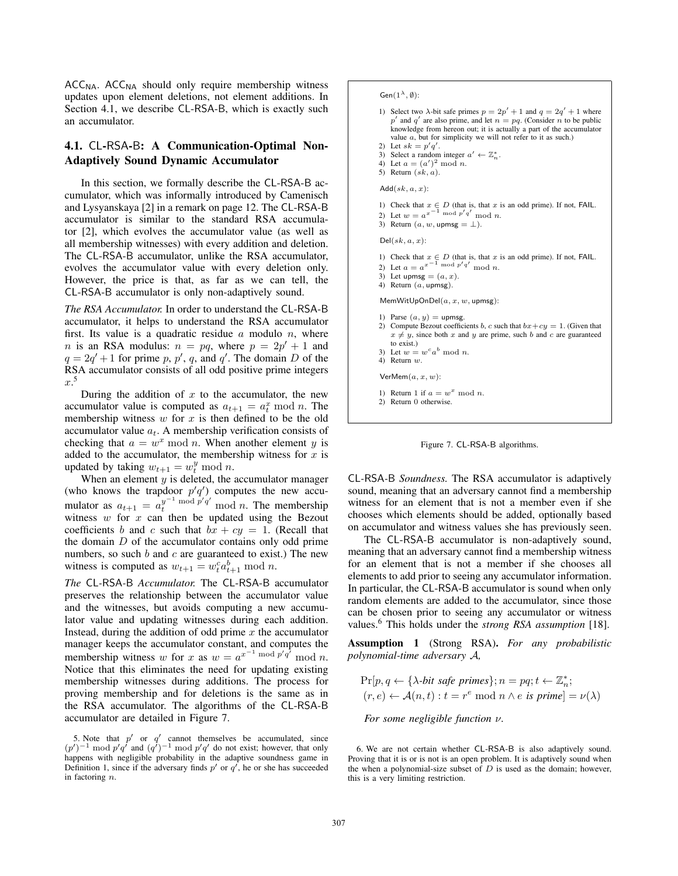$ACC<sub>NA</sub>$ .  $ACC<sub>NA</sub>$  should only require membership witness updates upon element deletions, not element additions. In Section 4.1, we describe CL-RSA-B, which is exactly such an accumulator.

## 4.1. CL-RSA-B: A Communication-Optimal Non-Adaptively Sound Dynamic Accumulator

In this section, we formally describe the CL-RSA-B accumulator, which was informally introduced by Camenisch and Lysyanskaya [2] in a remark on page 12. The CL-RSA-B accumulator is similar to the standard RSA accumulator [2], which evolves the accumulator value (as well as all membership witnesses) with every addition and deletion. The CL-RSA-B accumulator, unlike the RSA accumulator, evolves the accumulator value with every deletion only. However, the price is that, as far as we can tell, the CL-RSA-B accumulator is only non-adaptively sound.

*The RSA Accumulator.* In order to understand the CL-RSA-B accumulator, it helps to understand the RSA accumulator first. Its value is a quadratic residue  $a$  modulo  $n$ , where *n* is an RSA modulus:  $n = pq$ , where  $p = 2p' + 1$  and  $q = 2q' + 1$  for prime p, p', q, and q'. The domain D of the RSA accumulator consists of all odd positive prime integers x. 5

During the addition of  $x$  to the accumulator, the new accumulator value is computed as  $a_{t+1} = a_t^x \bmod n$ . The membership witness  $w$  for  $x$  is then defined to be the old accumulator value  $a_t$ . A membership verification consists of checking that  $a = w^x \mod n$ . When another element y is added to the accumulator, the membership witness for  $x$  is updated by taking  $w_{t+1} = w_t^y \bmod n$ .

When an element  $y$  is deleted, the accumulator manager (who knows the trapdoor  $p'q'$ ) computes the new accumulator as  $a_{t+1} = a_t^{y^{-1} \bmod p'q'} \bmod n$ . The membership witness  $w$  for  $x$  can then be updated using the Bezout coefficients b and c such that  $bx + cy = 1$ . (Recall that the domain  $D$  of the accumulator contains only odd prime numbers, so such  $b$  and  $c$  are guaranteed to exist.) The new witness is computed as  $w_{t+1} = w_t^c a_{t+1}^b \text{ mod } n$ .

*The* CL*-*RSA*-*B *Accumulator.* The CL-RSA-B accumulator preserves the relationship between the accumulator value and the witnesses, but avoids computing a new accumulator value and updating witnesses during each addition. Instead, during the addition of odd prime  $x$  the accumulator manager keeps the accumulator constant, and computes the membership witness w for x as  $w = a^{x^{-1} \bmod p' q'} \bmod n$ . Notice that this eliminates the need for updating existing membership witnesses during additions. The process for proving membership and for deletions is the same as in the RSA accumulator. The algorithms of the CL-RSA-B accumulator are detailed in Figure 7.

```
1) Select two λ-bit safe primes p = 2p' + 1 and q = 2q' + 1 where p' and q' are also prime, and let n = pq. (Consider n to be public knowledge from hereon out; it is actually a part of the accumulator
    value a, but for simplicity we will not refer to it as such.)
2) Let sk = p'q'.
3) Select a random integer a' \leftarrow \mathbb{Z}_n^*.
4) Let a = (a')^2 \mod n.
5) Return (sk, a).
Add(sk, a, x):
1) Check that x \in D (that is, that x is an odd prime). If not, FAIL.<br>2) Let w = a^{x^{-1} \mod p'q'} \mod n.
3) Return (a, w, \text{upmsg} = \bot).
Del(sk, a, x):
1) Check that x \in D (that is, that x is an odd prime). If not, FAIL.<br>2) Let a = a^{x^{-1} \mod p'q'} \mod n.
3) Let upmsg = (a, x).
4) Return (a, upmsg).
MemWitUpOnDel(a, x, w, upmsg):1) Parse (a, y) =upmsg.
2) Compute Bezout coefficients b, c such that bx+cy = 1. (Given that
    x \neq y, since both x and y are prime, such b and c are guaranteed
    to exist.)
3) Let w = w^c a^b \mod n.
4) Return w.
VerMem(a, x, w):
1) Return 1 if a = w^x \mod n.
2) Return 0 otherwise.
```
 $Gen(1^{\lambda}, \emptyset)$ :

Figure 7. CL-RSA-B algorithms.

CL*-*RSA*-*B *Soundness.* The RSA accumulator is adaptively sound, meaning that an adversary cannot find a membership witness for an element that is not a member even if she chooses which elements should be added, optionally based on accumulator and witness values she has previously seen.

The CL-RSA-B accumulator is non-adaptively sound, meaning that an adversary cannot find a membership witness for an element that is not a member if she chooses all elements to add prior to seeing any accumulator information. In particular, the CL-RSA-B accumulator is sound when only random elements are added to the accumulator, since those can be chosen prior to seeing any accumulator or witness values.<sup>6</sup> This holds under the *strong RSA assumption* [18].

Assumption 1 (Strong RSA). *For any probabilistic polynomial-time adversary* A*,*

$$
\Pr[p, q \leftarrow \{\lambda \text{-bit safe primes}\}; n = pq; t \leftarrow \mathbb{Z}_n^*;
$$
  

$$
(r, e) \leftarrow \mathcal{A}(n, t) : t = r^e \mod n \land e \text{ is prime}] = \nu(\lambda)
$$

*For some negligible function* ν*.*

6. We are not certain whether CL-RSA-B is also adaptively sound. Proving that it is or is not is an open problem. It is adaptively sound when the when a polynomial-size subset of  $D$  is used as the domain; however, this is a very limiting restriction.

<sup>5.</sup> Note that  $p'$  or  $q'$  cannot themselves be accumulated, since  $(p')^{-1} \mod p'q'$  and  $(q')^{-1} \mod p'q'$  do not exist; however, that only happens with negligible probability in the adaptive soundness game in Definition 1, since if the adversary finds  $p'$  or  $q'$ , he or she has succeeded in factoring n.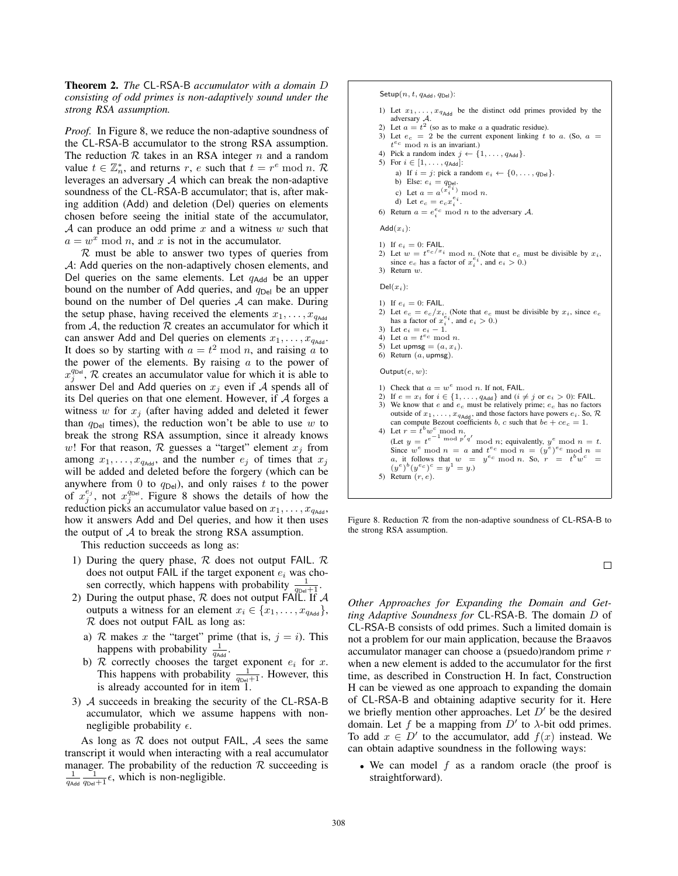Theorem 2. *The* CL*-*RSA*-*B *accumulator with a domain* D *consisting of odd primes is non-adaptively sound under the strong RSA assumption.*

*Proof.* In Figure 8, we reduce the non-adaptive soundness of the CL-RSA-B accumulator to the strong RSA assumption. The reduction  $R$  takes in an RSA integer  $n$  and a random value  $t \in \mathbb{Z}_n^*$ , and returns r, e such that  $t = r^e \bmod n$ . R leverages an adversary  $A$  which can break the non-adaptive soundness of the CL-RSA-B accumulator; that is, after making addition (Add) and deletion (Del) queries on elements chosen before seeing the initial state of the accumulator, A can produce an odd prime  $x$  and a witness  $w$  such that  $a = w^x \mod n$ , and x is not in the accumulator.

 $\mathcal R$  must be able to answer two types of queries from A: Add queries on the non-adaptively chosen elements, and Del queries on the same elements. Let  $q_{\text{Add}}$  be an upper bound on the number of Add queries, and  $q_{\text{Del}}$  be an upper bound on the number of Del queries  $A$  can make. During the setup phase, having received the elements  $x_1, \ldots, x_{q_{\text{Add}}}$ from  $A$ , the reduction  $R$  creates an accumulator for which it can answer Add and Del queries on elements  $x_1, \ldots, x_{q_{\text{Add}}}$ . It does so by starting with  $a = t^2 \mod n$ , and raising a to the power of the elements. By raising  $a$  to the power of  $x_j^{\text{q}_{\text{Del}}}$ ,  $\mathcal R$  creates an accumulator value for which it is able to answer Del and Add queries on  $x_i$  even if A spends all of its Del queries on that one element. However, if A forges a witness w for  $x_i$  (after having added and deleted it fewer than  $q_{\text{Del}}$  times), the reduction won't be able to use w to break the strong RSA assumption, since it already knows w! For that reason,  $R$  guesses a "target" element  $x_i$  from among  $x_1, \ldots, x_{q_{\text{Add}}}$ , and the number  $e_j$  of times that  $x_j$ will be added and deleted before the forgery (which can be anywhere from 0 to  $q_{\text{Del}}$ ), and only raises t to the power of  $x_j^{e_j}$ , not  $x_j^{q_{\text{Del}}}$ . Figure 8 shows the details of how the reduction picks an accumulator value based on  $x_1, \ldots, x_{q_{\text{Add}}}$ , how it answers Add and Del queries, and how it then uses the output of  $A$  to break the strong RSA assumption.

This reduction succeeds as long as:

- 1) During the query phase,  $R$  does not output FAIL.  $R$ does not output FAIL if the target exponent  $e_i$  was chosen correctly, which happens with probability  $\frac{1}{q_{\text{Del}}+1}$ .
- 2) During the output phase,  $R$  does not output FAIL. If  $A$ outputs a witness for an element  $x_i \in \{x_1, \ldots, x_{q_{\text{Add}}}\},$  $\mathcal R$  does not output FAIL as long as:
	- a) R makes x the "target" prime (that is,  $j = i$ ). This happens with probability  $\frac{1}{q_{\text{Add}}}.$
	- b) R correctly chooses the target exponent  $e_i$  for x. This happens with probability  $\frac{1}{q_{\text{Dgl}}+1}$ . However, this is already accounted for in item 1.
- 3) A succeeds in breaking the security of the CL-RSA-B accumulator, which we assume happens with nonnegligible probability  $\epsilon$ .

As long as  $R$  does not output FAIL,  $A$  sees the same transcript it would when interacting with a real accumulator manager. The probability of the reduction  $R$  succeeding is 1  $q_{\rm Add}$  $\frac{1}{q_{\text{Del}}+1} \epsilon$ , which is non-negligible.

```
\mathsf{Setup}(n,t,q_\mathsf{Add},q_\mathsf{Del}):
```
- 1) Let  $x_1, \ldots, x_{q \text{Add}}$  be the distinct odd primes provided by the
- adversary A.<br>2) Let  $a = t^2$  (so as to make a a quadratic residue).
- 3) Let  $e_c = 2$  be the current exponent linking t to a. (So,  $a =$  $t^{e_c}$  mod *n* is an invariant.)
- 4) Pick a random index  $j \leftarrow \{1, \ldots, q_{\text{Add}}\}.$
- 5) For  $i \in [1, \ldots, q_{\text{Add}}]$ :
	- a) If  $i = j$ : pick a random  $e_i \leftarrow \{0, \ldots, q_{\text{Del}}\}.$
	-
	- b) Else:  $e_i = q_{\text{Del}}$ .<br>c) Let  $a = a^{(x_i^{e_i})} \mod n$ .
	- d) Let  $e_c = e_c x_i^{e_i}$ .
- 6) Return  $a = e_i^{e_c} \mod n$  to the adversary A.

 $Add(x_i):$ 

```
1) If e_i = 0: FAIL.
```
2) Let  $w = t^{e_c/x_i} \mod n$ . (Note that  $e_c$  must be divisible by  $x_i$ , since  $e_c$  has a factor of  $x_i^{e_i}$ , and  $e_i > 0$ .) 3) Return w.

 $Del(x_i):$ 

- 1) If  $e_i = 0$ : FAIL.
- 2) Let  $e_c = e_c / x_{i}$ . (Note that  $e_c$  must be divisible by  $x_i$ , since  $e_c$  has a factor of  $x_i^{e_i}$ , and  $e_i > 0$ .)
- 3) Let  $e_i = e_i 1$ .
- 4) Let  $a = t^{e_c} \mod n$ .
- 5) Let upmsg =  $(a, x_i)$ . 6) Return  $(a, upmsg)$ .
- 

 $Output(e, w)$ :

- 1) Check that  $a = w^e \mod n$ . If not, FAIL.
- 2) If  $e = x_i$  for  $i \in \{1, \ldots, q_{\text{Add}}\}$  and  $(i \neq j$  or  $e_i > 0$ ): FAIL. 3) We know that  $e$  and  $e_c$  must be relatively prime;  $e_c$  has no factors outside of  $x_1, \ldots, x_{q_{\text{Add}}}$ , and those factors have powers  $e_i$ . So,  $\mathcal{R}$  can compute Bezout coefficients  $b$ ,  $c$  such that  $be + ce_c = 1$ . 4) Let  $r = t^b w^c \mod n$ .
- (Let  $y = t^{e^{-1} \mod p'q'} \mod n$ ; equivalently,  $y^e \mod n = t$ . Since  $w^e$  mod  $n = a$  and  $t^{e_c}$  mod  $n = (y^e)^{e_c}$  mod  $n =$ a, it follows that  $w = y^{e_c} \mod n$ . So,  $r = t^b w^c$  $(y^e)^b(y^{e_c})^c = y^1 = y.$ 5) Return  $(r, e)$ .

Figure 8. Reduction  $R$  from the non-adaptive soundness of CL-RSA-B to the strong RSA assumption.



*Other Approaches for Expanding the Domain and Getting Adaptive Soundness for* CL*-*RSA*-*B*.* The domain D of CL-RSA-B consists of odd primes. Such a limited domain is not a problem for our main application, because the Braavos accumulator manager can choose a (psuedo)random prime r when a new element is added to the accumulator for the first time, as described in Construction H. In fact, Construction H can be viewed as one approach to expanding the domain of CL-RSA-B and obtaining adaptive security for it. Here we briefly mention other approaches. Let  $D'$  be the desired domain. Let f be a mapping from  $D'$  to  $\lambda$ -bit odd primes. To add  $x \in D'$  to the accumulator, add  $f(x)$  instead. We can obtain adaptive soundness in the following ways:

• We can model  $f$  as a random oracle (the proof is straightforward).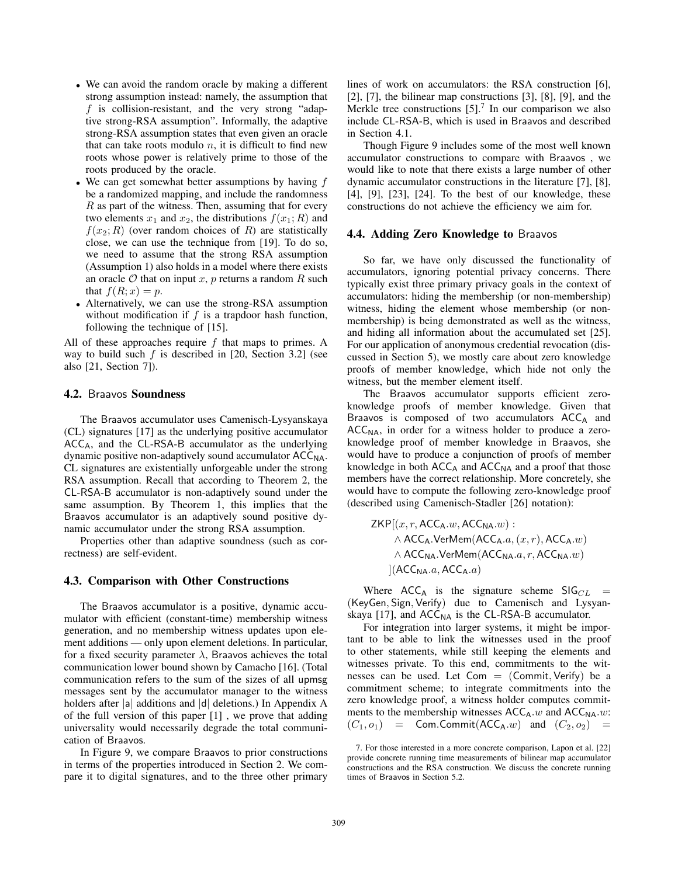- We can avoid the random oracle by making a different strong assumption instead: namely, the assumption that  $f$  is collision-resistant, and the very strong "adaptive strong-RSA assumption". Informally, the adaptive strong-RSA assumption states that even given an oracle that can take roots modulo  $n$ , it is difficult to find new roots whose power is relatively prime to those of the roots produced by the oracle.
- We can get somewhat better assumptions by having  $f$ be a randomized mapping, and include the randomness  $R$  as part of the witness. Then, assuming that for every two elements  $x_1$  and  $x_2$ , the distributions  $f(x_1; R)$  and  $f(x_2; R)$  (over random choices of R) are statistically close, we can use the technique from [19]. To do so, we need to assume that the strong RSA assumption (Assumption 1) also holds in a model where there exists an oracle  $O$  that on input x, p returns a random R such that  $f(R; x) = p$ .
- Alternatively, we can use the strong-RSA assumption without modification if  $f$  is a trapdoor hash function, following the technique of [15].

All of these approaches require  $f$  that maps to primes. A way to build such  $f$  is described in [20, Section 3.2] (see also [21, Section 7]).

#### 4.2. Braavos Soundness

The Braavos accumulator uses Camenisch-Lysyanskaya (CL) signatures [17] as the underlying positive accumulator ACCA, and the CL-RSA-B accumulator as the underlying dynamic positive non-adaptively sound accumulator ACC<sub>NA</sub>. CL signatures are existentially unforgeable under the strong RSA assumption. Recall that according to Theorem 2, the CL-RSA-B accumulator is non-adaptively sound under the same assumption. By Theorem 1, this implies that the Braavos accumulator is an adaptively sound positive dynamic accumulator under the strong RSA assumption.

Properties other than adaptive soundness (such as correctness) are self-evident.

#### 4.3. Comparison with Other Constructions

The Braavos accumulator is a positive, dynamic accumulator with efficient (constant-time) membership witness generation, and no membership witness updates upon element additions — only upon element deletions. In particular, for a fixed security parameter  $\lambda$ , Braavos achieves the total communication lower bound shown by Camacho [16]. (Total communication refers to the sum of the sizes of all upmsg messages sent by the accumulator manager to the witness holders after |a| additions and |d| deletions.) In Appendix A of the full version of this paper [1] , we prove that adding universality would necessarily degrade the total communication of Braavos.

In Figure 9, we compare Braavos to prior constructions in terms of the properties introduced in Section 2. We compare it to digital signatures, and to the three other primary lines of work on accumulators: the RSA construction [6],  $[2]$ ,  $[7]$ , the bilinear map constructions  $[3]$ ,  $[8]$ ,  $[9]$ , and the Merkle tree constructions  $[5]$ .<sup>7</sup> In our comparison we also include CL-RSA-B, which is used in Braavos and described in Section 4.1.

Though Figure 9 includes some of the most well known accumulator constructions to compare with Braavos , we would like to note that there exists a large number of other dynamic accumulator constructions in the literature [7], [8], [4], [9], [23], [24]. To the best of our knowledge, these constructions do not achieve the efficiency we aim for.

#### 4.4. Adding Zero Knowledge to Braavos

So far, we have only discussed the functionality of accumulators, ignoring potential privacy concerns. There typically exist three primary privacy goals in the context of accumulators: hiding the membership (or non-membership) witness, hiding the element whose membership (or nonmembership) is being demonstrated as well as the witness, and hiding all information about the accumulated set [25]. For our application of anonymous credential revocation (discussed in Section 5), we mostly care about zero knowledge proofs of member knowledge, which hide not only the witness, but the member element itself.

The Braavos accumulator supports efficient zeroknowledge proofs of member knowledge. Given that Braavos is composed of two accumulators ACCA and  $ACC<sub>NA</sub>$ , in order for a witness holder to produce a zeroknowledge proof of member knowledge in Braavos, she would have to produce a conjunction of proofs of member knowledge in both  $ACC<sub>A</sub>$  and  $ACC<sub>NA</sub>$  and a proof that those members have the correct relationship. More concretely, she would have to compute the following zero-knowledge proof (described using Camenisch-Stadler [26] notation):

$$
\begin{aligned} \mathsf{ZKP}[(x,r,\mathsf{ACC_A}.w,\mathsf{ACC_{NA}}.w):\quad\quad\land\mathsf{ACC_A}.\mathsf{VerMem}(\mathsf{ACC_A}.a,(x,r),\mathsf{ACC_A}.w)\\ \quad\land\mathsf{ACC_{NA}}.\mathsf{VerMem}(\mathsf{ACC_{NA}}.a,r,\mathsf{ACC_{NA}}.w)\\ ](\mathsf{ACC_{NA}}.a,\mathsf{ACC_{A}}.a) \end{aligned}
$$

Where  $ACC_A$  is the signature scheme  $SIG_{CL}$  = (KeyGen, Sign, Verify) due to Camenisch and Lysyanskaya [17], and  $ACC_{NA}$  is the CL-RSA-B accumulator.

For integration into larger systems, it might be important to be able to link the witnesses used in the proof to other statements, while still keeping the elements and witnesses private. To this end, commitments to the witnesses can be used. Let  $Com = (Commit, Verify)$  be a commitment scheme; to integrate commitments into the zero knowledge proof, a witness holder computes commitments to the membership witnesses  $ACC_A.w$  and  $ACC_{NA}.w$ .  $(C_1, o_1)$  = Com.Commit(ACC<sub>A</sub>.w) and  $(C_2, o_2)$  =

<sup>7.</sup> For those interested in a more concrete comparison, Lapon et al. [22] provide concrete running time measurements of bilinear map accumulator constructions and the RSA construction. We discuss the concrete running times of Braavos in Section 5.2.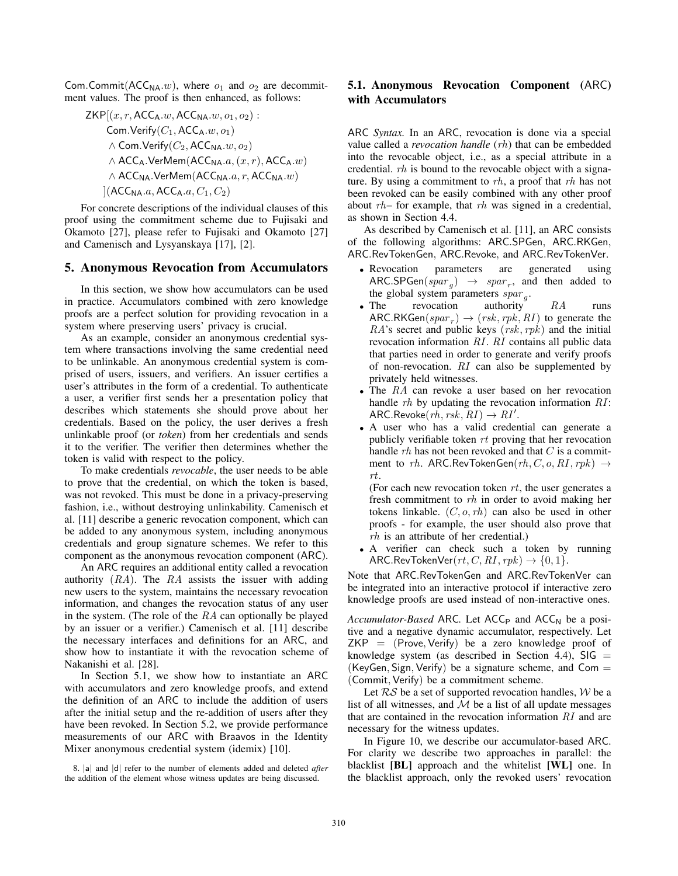Com.Commit( $ACC_{NA}.w$ ), where  $o_1$  and  $o_2$  are decommitment values. The proof is then enhanced, as follows:

$$
\begin{aligned} \mathsf{ZKP}[(x,r,\mathsf{ACC}_\mathsf{A}.w,\mathsf{ACC}_\mathsf{NA}.w,\mathsf{o}_1,\mathsf{o}_2):\\ &\mathsf{Com}.\mathsf{Verify}(C_1,\mathsf{ACC}_\mathsf{A}.w,\mathsf{o}_1)\\ &\wedge \mathsf{Com}.\mathsf{Verify}(C_2,\mathsf{ACC}_\mathsf{NA}.w,\mathsf{o}_2)\\ &\wedge \mathsf{ACC}_\mathsf{A}.\mathsf{VerMem}(\mathsf{ACC}_\mathsf{NA}.a,(x,r),\mathsf{ACC}_\mathsf{A}.w)\\ &\wedge \mathsf{ACC}_\mathsf{NA}. \mathsf{VerMem}(\mathsf{ACC}_\mathsf{NA}.a,r,\mathsf{ACC}_\mathsf{NA}.w)\\ &[(\mathsf{ACC}_\mathsf{NA}.a,\mathsf{ACC}_\mathsf{A}.a,C_1,C_2)\end{aligned}
$$

For concrete descriptions of the individual clauses of this proof using the commitment scheme due to Fujisaki and Okamoto [27], please refer to Fujisaki and Okamoto [27] and Camenisch and Lysyanskaya [17], [2].

#### 5. Anonymous Revocation from Accumulators

In this section, we show how accumulators can be used in practice. Accumulators combined with zero knowledge proofs are a perfect solution for providing revocation in a system where preserving users' privacy is crucial.

As an example, consider an anonymous credential system where transactions involving the same credential need to be unlinkable. An anonymous credential system is comprised of users, issuers, and verifiers. An issuer certifies a user's attributes in the form of a credential. To authenticate a user, a verifier first sends her a presentation policy that describes which statements she should prove about her credentials. Based on the policy, the user derives a fresh unlinkable proof (or *token*) from her credentials and sends it to the verifier. The verifier then determines whether the token is valid with respect to the policy.

To make credentials *revocable*, the user needs to be able to prove that the credential, on which the token is based, was not revoked. This must be done in a privacy-preserving fashion, i.e., without destroying unlinkability. Camenisch et al. [11] describe a generic revocation component, which can be added to any anonymous system, including anonymous credentials and group signature schemes. We refer to this component as the anonymous revocation component (ARC).

An ARC requires an additional entity called a revocation authority  $(RA)$ . The RA assists the issuer with adding new users to the system, maintains the necessary revocation information, and changes the revocation status of any user in the system. (The role of the  $RA$  can optionally be played by an issuer or a verifier.) Camenisch et al. [11] describe the necessary interfaces and definitions for an ARC, and show how to instantiate it with the revocation scheme of Nakanishi et al. [28].

In Section 5.1, we show how to instantiate an ARC with accumulators and zero knowledge proofs, and extend the definition of an ARC to include the addition of users after the initial setup and the re-addition of users after they have been revoked. In Section 5.2, we provide performance measurements of our ARC with Braavos in the Identity Mixer anonymous credential system (idemix) [10].

8. |a| and |d| refer to the number of elements added and deleted *after* the addition of the element whose witness updates are being discussed.

## 5.1. Anonymous Revocation Component (ARC) with Accumulators

ARC *Syntax.* In an ARC, revocation is done via a special value called a *revocation handle* (rh) that can be embedded into the revocable object, i.e., as a special attribute in a credential. rh is bound to the revocable object with a signature. By using a commitment to  $rh$ , a proof that  $rh$  has not been revoked can be easily combined with any other proof about  $rh$ – for example, that  $rh$  was signed in a credential, as shown in Section 4.4.

As described by Camenisch et al. [11], an ARC consists of the following algorithms: ARC.SPGen, ARC.RKGen, ARC.RevTokenGen, ARC.Revoke, and ARC.RevTokenVer.

- Revocation parameters are generated using ARC.SPGen(spar<sub>q</sub>)  $\rightarrow$  spar<sub>r</sub>, and then added to the global system parameters  $spr_{g}$ .<br>• The revocation authority
- revocation authority  $RA$  runs ARC.RKGen(spar  $r_r$ )  $\rightarrow$  (rsk, rpk, RI) to generate the  $RA$ 's secret and public keys  $(rsk, rpk)$  and the initial revocation information RI. RI contains all public data that parties need in order to generate and verify proofs of non-revocation. RI can also be supplemented by privately held witnesses.
- The RA can revoke a user based on her revocation handle *rh* by updating the revocation information RI: ARC.Revoke $(\overline{rh}, \overline{rsk}, \overline{RI}) \rightarrow \overline{RI}'.$
- A user who has a valid credential can generate a publicly verifiable token  $rt$  proving that her revocation handle  $rh$  has not been revoked and that  $C$  is a commitment to rh. ARC.RevTokenGen $(rh, C, o, RI, rpk) \rightarrow$ rt.

(For each new revocation token  $rt$ , the user generates a fresh commitment to rh in order to avoid making her tokens linkable.  $(C, o, rh)$  can also be used in other proofs - for example, the user should also prove that rh is an attribute of her credential.)

• A verifier can check such a token by running ARC.RevTokenVer $(rt, C, RI, rpk) \rightarrow \{0, 1\}.$ 

Note that ARC.RevTokenGen and ARC.RevTokenVer can be integrated into an interactive protocol if interactive zero knowledge proofs are used instead of non-interactive ones.

*Accumulator-Based* ARC. Let ACC<sub>P</sub> and ACC<sub>N</sub> be a positive and a negative dynamic accumulator, respectively. Let  $ZKP = (Prove, Verify)$  be a zero knowledge proof of knowledge system (as described in Section 4.4),  $SIG =$ (KeyGen, Sign, Verify) be a signature scheme, and  $Com =$ (Commit, Verify) be a commitment scheme.

Let  $RS$  be a set of supported revocation handles,  $W$  be a list of all witnesses, and  $M$  be a list of all update messages that are contained in the revocation information RI and are necessary for the witness updates.

In Figure 10, we describe our accumulator-based ARC. For clarity we describe two approaches in parallel: the blacklist [BL] approach and the whitelist [WL] one. In the blacklist approach, only the revoked users' revocation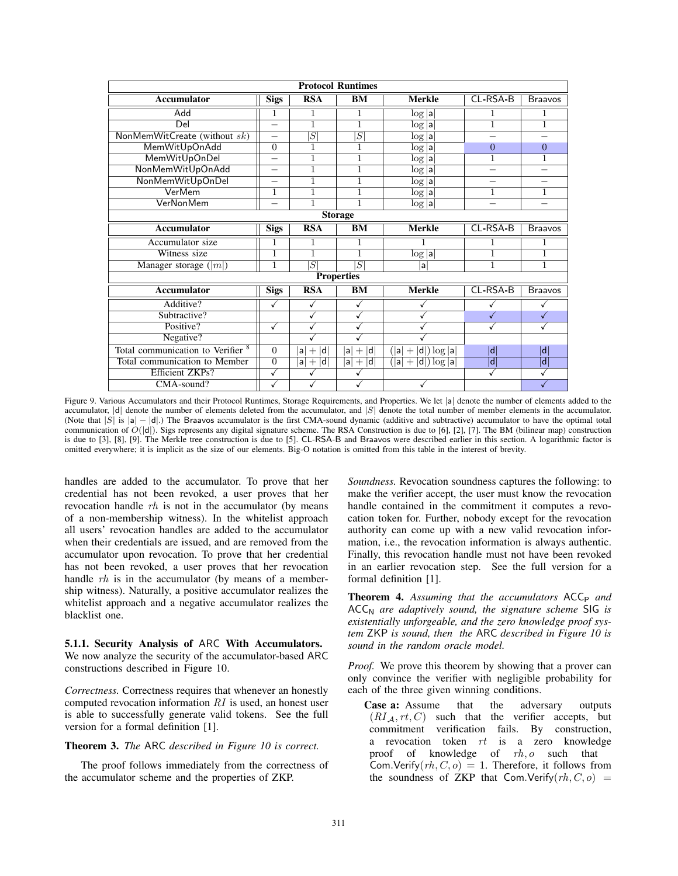| <b>Protocol Runtimes</b>                     |                          |                     |                          |                        |                          |                         |  |  |  |  |
|----------------------------------------------|--------------------------|---------------------|--------------------------|------------------------|--------------------------|-------------------------|--|--|--|--|
| <b>Accumulator</b>                           | <b>Sigs</b>              | <b>RSA</b>          | BM                       | <b>Merkle</b>          | CL-RSA-B                 | <b>Braavos</b>          |  |  |  |  |
| Add                                          | 1                        | 1                   | 1                        | $\log  \mathsf{a} $    | 1                        | 1                       |  |  |  |  |
| $\overline{Del}$                             |                          | 1                   | 1                        | $\log  a $             | 1                        |                         |  |  |  |  |
| NonMemWitCreate (without $sk$ )              | $\overline{\phantom{0}}$ | $\overline{S}$      | $\overline{S}$           | $\log  a $             | $\overline{\phantom{0}}$ |                         |  |  |  |  |
| MemWitUpOnAdd                                | 0                        |                     |                          | $\log \mathsf{a} $     | $\overline{0}$           | $\Omega$                |  |  |  |  |
| MemWitUpOnDel                                | -                        | 1                   | $\mathbf{1}$             | $\log  a $             | 1                        | 1                       |  |  |  |  |
| NonMemWitUpOnAdd                             | -                        | 1                   | 1                        | $\log  a $             |                          |                         |  |  |  |  |
| NonMemWitUpOnDel                             | $\overline{\phantom{0}}$ | 1                   | 1                        | $\log  a $             | $\overline{\phantom{0}}$ |                         |  |  |  |  |
| VerMem                                       | 1                        | 1                   | 1                        | $\log \mathsf{a} $     | 1                        | 1                       |  |  |  |  |
| <b>VerNonMem</b>                             |                          | 1                   | 1                        | $\log  a $             | $\overline{\phantom{0}}$ |                         |  |  |  |  |
| <b>Storage</b>                               |                          |                     |                          |                        |                          |                         |  |  |  |  |
| <b>Accumulator</b>                           | <b>Sigs</b>              | <b>RSA</b>          | $\overline{\bf BM}$      | <b>Merkle</b>          | CL-RSA-B                 | <b>Braavos</b>          |  |  |  |  |
| Accumulator size                             | 1                        | 1                   | 1                        |                        | 1                        |                         |  |  |  |  |
| Witness size                                 | 1                        | 1                   | 1                        | $\log \mathsf{a} $     | 1                        | 1                       |  |  |  |  |
| Manager storage $( m )$                      | 1                        | $\overline{S}$      | $\overline{S}$           | a                      | 1                        | 1                       |  |  |  |  |
| <b>Properties</b>                            |                          |                     |                          |                        |                          |                         |  |  |  |  |
| <b>Accumulator</b>                           | <b>Sigs</b>              | <b>RSA</b>          | BM                       | <b>Merkle</b>          | CL-RSA-B                 | <b>Braavos</b>          |  |  |  |  |
| Additive?                                    | $\checkmark$             | ✓                   | ✓                        |                        | ✓                        | ✓                       |  |  |  |  |
| Subtractive?                                 |                          |                     | √                        |                        | √                        | ✓                       |  |  |  |  |
| Positive?                                    | ✓                        |                     |                          |                        |                          |                         |  |  |  |  |
| Negative?                                    |                          |                     |                          |                        |                          |                         |  |  |  |  |
| Total communication to Verifier <sup>8</sup> | $\overline{0}$           | d<br>$^{+}$<br>lal  | $+ d $<br> a             | $( a  +  d ) \log  a $ | d                        | $ \mathsf{d} $          |  |  |  |  |
| Total communication to Member                | $\overline{0}$           | d <br>lal<br>$^{+}$ | $+$ $\overline{d}$<br> a | $( a  +  d ) \log  a $ | $\overline{\mathsf{d}}$  | $\overline{\mathsf{d}}$ |  |  |  |  |
| Efficient ZKPs?                              | $\checkmark$             |                     |                          |                        |                          |                         |  |  |  |  |
| CMA-sound?                                   |                          |                     |                          |                        |                          |                         |  |  |  |  |

Figure 9. Various Accumulators and their Protocol Runtimes, Storage Requirements, and Properties. We let |a| denote the number of elements added to the accumulator,  $|d|$  denote the number of elements deleted from the accumulator, and  $|S|$  denote the total number of member elements in the accumulator. (Note that |S| is |a|−|d|.) The Braavos accumulator is the first CMA-sound dynamic (additive and subtractive) accumulator to have the optimal total communication of  $O(|d|)$ . Sigs represents any digital signature scheme. The RSA Construction is due to [6], [2], [7]. The BM (bilinear map) construction is due to [3], [8], [9]. The Merkle tree construction is due to [5]. CL-RSA-B and Braavos were described earlier in this section. A logarithmic factor is omitted everywhere; it is implicit as the size of our elements. Big-O notation is omitted from this table in the interest of brevity.

handles are added to the accumulator. To prove that her credential has not been revoked, a user proves that her revocation handle  $rh$  is not in the accumulator (by means of a non-membership witness). In the whitelist approach all users' revocation handles are added to the accumulator when their credentials are issued, and are removed from the accumulator upon revocation. To prove that her credential has not been revoked, a user proves that her revocation handle *rh* is in the accumulator (by means of a membership witness). Naturally, a positive accumulator realizes the whitelist approach and a negative accumulator realizes the blacklist one.

### 5.1.1. Security Analysis of ARC With Accumulators. We now analyze the security of the accumulator-based ARC constructions described in Figure 10.

*Correctness.* Correctness requires that whenever an honestly computed revocation information  $RI$  is used, an honest user is able to successfully generate valid tokens. See the full version for a formal definition [1].

#### Theorem 3. *The* ARC *described in Figure 10 is correct.*

The proof follows immediately from the correctness of the accumulator scheme and the properties of ZKP.

*Soundness.* Revocation soundness captures the following: to make the verifier accept, the user must know the revocation handle contained in the commitment it computes a revocation token for. Further, nobody except for the revocation authority can come up with a new valid revocation information, i.e., the revocation information is always authentic. Finally, this revocation handle must not have been revoked in an earlier revocation step. See the full version for a formal definition [1].

**Theorem 4.** Assuming that the accumulators ACC<sub>P</sub> and ACC<sup>N</sup> *are adaptively sound, the signature scheme* SIG *is existentially unforgeable, and the zero knowledge proof system* ZKP *is sound, then the* ARC *described in Figure 10 is sound in the random oracle model.*

*Proof.* We prove this theorem by showing that a prover can only convince the verifier with negligible probability for each of the three given winning conditions.

Case a: Assume that the adversary outputs  $(RI_A, rt, C)$  such that the verifier accepts, but commitment verification fails. By construction, a revocation token  $rt$  is a zero knowledge<br>proof of knowledge of  $rh, o$  such that of knowledge of  $rh$ ,  $o$  such that Com.Verify( $rh, C, o$ ) = 1. Therefore, it follows from the soundness of ZKP that Com.Verify $(rh, C, o)$  =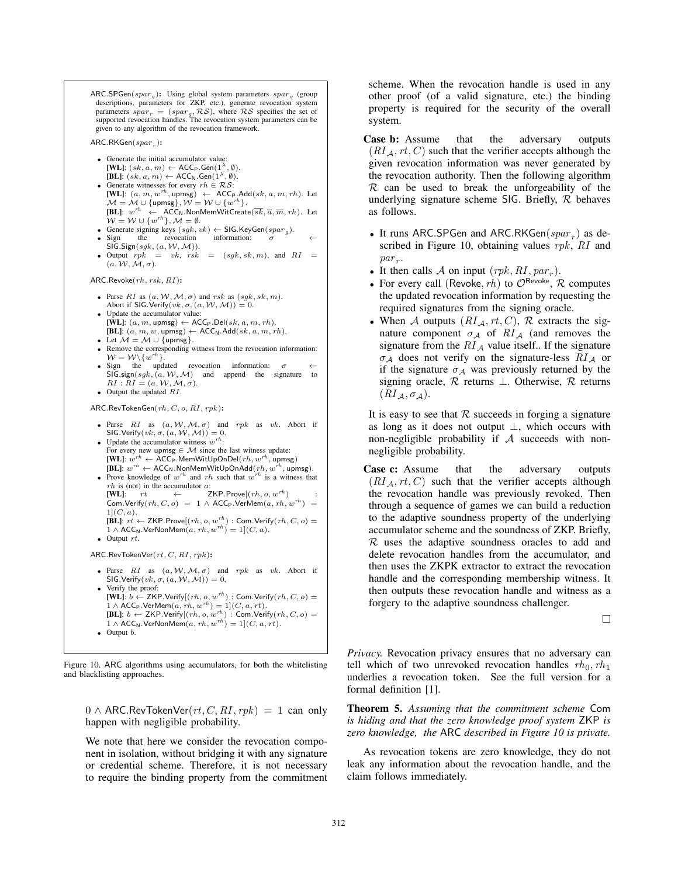ARC.SPGen(spar<sub>a</sub>): Using global system parameters spar<sub>a</sub> (group descriptions, parameters for ZKP, etc.), generate revocation system parameters  $spar_r = (spar_g, RS)$ , where  $RS$  specifies the set of supported revocation handles. The revocation system parameters can be given to any algorithm of the revocation framework.

 $ARC.RKGen(spar_{r})$ :

• Generate the initial accumulator value:<br>  $[WL]$ :  $(sk, a, m) \leftarrow ACC_P.Gen(1^{\lambda}, \emptyset)$ .

- **[BL]:**  $(sk, a, m) \leftarrow \text{ACC}_{N}$ . Gen $(1^{\lambda}, \emptyset)$ .<br>Generate witnesses for every  $rh \in \mathcal{RS}$ : • Generate witnesses for every  $rh \in \mathcal{RS}$ :<br>
[WL]:  $(a, m, w^{rh}, \text{upmsg}) \leftarrow \text{ACC}_P.\text{Add}(sk, a, m, rh).$  Let<br>  $\mathcal{M} = \mathcal{M} \cup \{\text{upmsg}\}, \mathcal{W} = \mathcal{W} \cup \{w^{rh}\}.$ **[BL**]:  $w^{rh} \leftarrow \text{ACC}_{N}$ . Non Mem WitCreate  $(s\overline{k}, \overline{a}, \overline{m}, rh)$ . Let  $W = W \cup \{w^{rh}\}, M = \emptyset$ .
- Generate signing keys  $(sgk, vk) \leftarrow \text{SIG.KeyGen}(spar_g)$ .<br>• Sign the revocation information:  $\sigma$
- Sign the revocation information:  $\sigma$  ←  $SIG.Sign(sgk, (a, W, M)).$
- Output  $rpk = vk, rsk = (sgk, sk, m)$ , and  $RI = (a, W, M, \sigma)$ .

ARC.Revoke $(rh, rsk, RI)$ :

- Parse  $RI$  as  $(a, \mathcal{W}, \mathcal{M}, \sigma)$  and  $rsk$  as  $(sgk, sk, m)$ . Abort if SIG.Verify $(vk, \sigma, (a, \mathcal{W}, \mathcal{M})) = 0$ .
- Update the accumulator value:  $[\mathbf{WL}]\colon (a, m, \mathsf{upmsg}) \leftarrow \mathsf{ACC}_{\mathsf{P}}.\mathsf{Del}(\mathit{sk}, a, m, \mathit{rh}).$ [BL]:  $(a, m, w, \text{upmsg}) \leftarrow \text{ACC}_N.\text{Add}(sk, a, m, rh).$
- Let  $\mathcal{M} = \mathcal{M} \cup \{\text{upmsg}\}.$
- Remove the corresponding witness from the revocation information:
- $W = W \{w^{rh}\}.$ <br>
 Sign the updated revocation information: σ ←<br>
SIG.sign(sgk, (a, W, M) and append the signature to<br>
RI : RI = (a, W, M, σ).<br>
 Output the undated RI
- Output the updated  $RI$ .

 $ARC.$ RevToken $Gen(rh, C, o, RI, rpk)$ :

- Parse  $RI$  as  $(a, W, M, \sigma)$  and  $rpk$  as vk. Abort if SIG. Verify $(vk, \sigma, (a, W, M)) = 0$ .
- Update the accumulator witness  $w^{rh}$ For every new upmsg ∈ M since the last witness update:<br>
[WL]:  $w^{rh} \leftarrow$  ACC<sub>P</sub>.MemWitUpOnDel( $rh$ ,  $w^{rh}$ , upmsg)  $[WL]: w^{rh} \leftarrow \text{ACC}_P.\text{MemWitUpOnDel}(rh, w^{rh}, \text{upmsg})$ <br> $[RU]: w^{rh} \leftarrow \text{ACC}_P.\text{NonMemWitUpOnAdd}(rh, w^{rh}, \text{upmsg})$ [BL]:  $w^{rh} \leftarrow \text{ACC}_N$ . NonMemWitUpOn $\text{Add}(rh, w^{rh})$ , upmsg).<br>Prove knowledge of  $w^{rh}$  and  $rh$  such that  $w^{rh}$  is a witness that • Prove knowledge of  $w^{rh}$  and  $rh$  such that  $w^{rh}$  is a witness that *rh* is (not) in the accumulator *a*:<br>  $\begin{array}{rcl}\n\textbf{C} & \textbf{r} & \leftarrow & \textbf{ZKP.Prove}[(rh, o, w^{rh})\n\end{array}$ <br>  $\begin{array}{rcl}\n\textbf{C} & \textbf{Mer}(rch, C, o) = 1, \land & \textbf{ACC} & \textbf{Mer}(rch, arh, w^{rh})\n\end{array}$  $\mathsf{Com}.\mathsf{Verify}(rh, C, o) = 1 \wedge \mathsf{ACC}_{\mathsf{P}}.\mathsf{VerMem}(a, rh, w^{rh} ) =$  $1|(C, a).$  $[\overrightarrow{BL}]\colon r\acute{t} \leftarrow \mathsf{ZKP}.\mathsf{Prove}[(rh, o, w^{rh}):\mathsf{Com}.\mathsf{Verify}(rh, C, o) =$  $1 \wedge$  ACC<sub>N</sub>. VerNonMem $(a, rh, w^{rh}) = 1$ ] $(C, a)$ . • Output rt.  $\mathsf{ARC}.\mathsf{RevTokenVer}(\mathit{rt}, \mathit{C}, \mathit{RI}, \mathit{rpk})$ : • Parse  $RI$  as  $(a, W, M, \sigma)$  and  $rpk$  as vk. Abort if
- SIG. Verify $(vk, \sigma, (a, W, M)) = 0$ . Verify the proof: [WL]:  $b \leftarrow \text{ZKP.Verify}[(rh, o, w^{rh}) : \text{Com.Verify}(rh, C, o) = 1 \wedge \text{ACC} \wedge \text{VerMem}(a, rh, w^{rh}) = 1/(Ca, rt)$  $1 \wedge \textsf{ACC}_{\mathsf{P}}.\textsf{VerMem}(a, rh, w^{rh}) = 1 | (C, a, rt).$ <br> **IBL**  $1 \cdot b \leftarrow \textsf{ZKP Verify}((rh, a, w^{rh}) \cdot \textsf{Com } \textsf{Veriv})$ **[BL]:**  $b \leftarrow \text{ZKP.Verify}[(rh, o, w^{rh}) : \text{Com.Verify}(rh, C, o) =$  $1 \wedge$  ACC<sub>N</sub>. VerNonMem $(a, rh, w^{rh}) = 1$ ] $(C, a, rt)$ . • Output  $b$ .

Figure 10. ARC algorithms using accumulators, for both the whitelisting and blacklisting approaches.

 $0 \wedge \text{ARC}$ . RevToken Ver $(rt, C, RI, rpk) = 1$  can only happen with negligible probability.

We note that here we consider the revocation component in isolation, without bridging it with any signature or credential scheme. Therefore, it is not necessary to require the binding property from the commitment scheme. When the revocation handle is used in any other proof (of a valid signature, etc.) the binding property is required for the security of the overall system.

- **Case b:** Assume that the adversary outputs  $(RI_A, rt, C)$  such that the verifier accepts although the given revocation information was never generated by the revocation authority. Then the following algorithm  $R$  can be used to break the unforgeability of the underlying signature scheme SIG. Briefly,  $R$  behaves as follows.
- It runs ARC.SPGen and ARC.RKGen( $spar_r$ ) as described in Figure 10, obtaining values rpk, RI and  $par_r$ .
- It then calls A on input  $(rpk, RI, par_r)$ .
- For every call (Revoke,  $rh$ ) to  $\mathcal{O}^{Revoke}$ ,  $\mathcal{R}$  computes the updated revocation information by requesting the required signatures from the signing oracle.
- When A outputs  $(RI_A, rt, C)$ , R extracts the signature component  $\sigma_A$  of  $RI_A$  (and removes the signature from the  $\overline{RI}_A$  value itself.. If the signature  $\sigma_A$  does not verify on the signature-less  $RI_A$  or if the signature  $\sigma_A$  was previously returned by the signing oracle,  $R$  returns  $\perp$ . Otherwise,  $R$  returns  $(RI_{\mathcal{A}}, \sigma_{\mathcal{A}}).$

It is easy to see that  $R$  succeeds in forging a signature as long as it does not output ⊥, which occurs with non-negligible probability if  $A$  succeeds with nonnegligible probability.

**Case c:** Assume that the adversary outputs  $(RI_A, rt, C)$  such that the verifier accepts although the revocation handle was previously revoked. Then through a sequence of games we can build a reduction to the adaptive soundness property of the underlying accumulator scheme and the soundness of ZKP. Briefly,  $R$  uses the adaptive soundness oracles to add and delete revocation handles from the accumulator, and then uses the ZKPK extractor to extract the revocation handle and the corresponding membership witness. It then outputs these revocation handle and witness as a forgery to the adaptive soundness challenger.

 $\Box$ 

*Privacy.* Revocation privacy ensures that no adversary can tell which of two unrevoked revocation handles  $rh_0, rh_1$ underlies a revocation token. See the full version for a formal definition [1].

Theorem 5. *Assuming that the commitment scheme* Com *is hiding and that the zero knowledge proof system* ZKP *is zero knowledge, the* ARC *described in Figure 10 is private.*

As revocation tokens are zero knowledge, they do not leak any information about the revocation handle, and the claim follows immediately.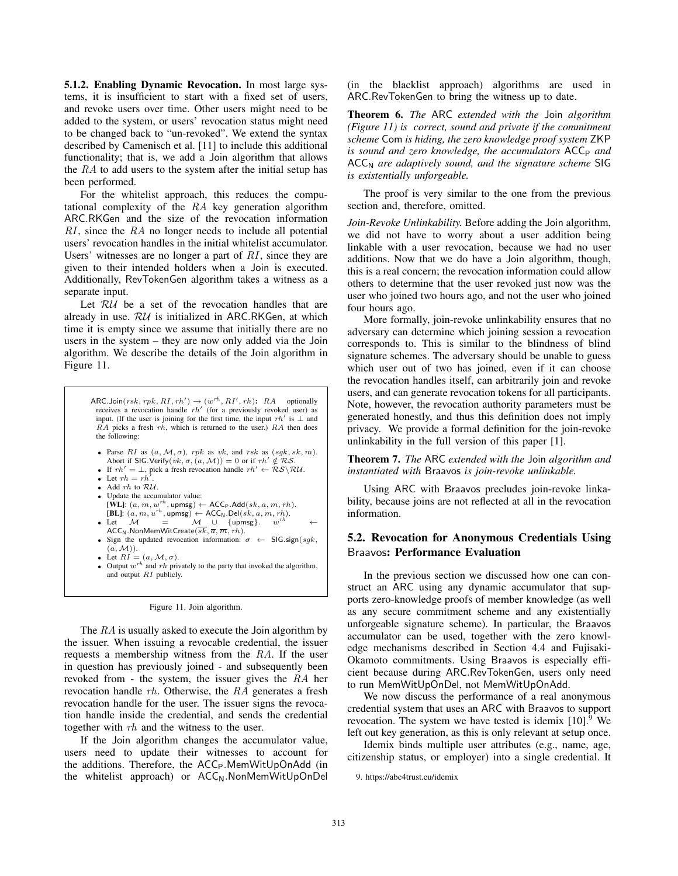5.1.2. Enabling Dynamic Revocation. In most large systems, it is insufficient to start with a fixed set of users, and revoke users over time. Other users might need to be added to the system, or users' revocation status might need to be changed back to "un-revoked". We extend the syntax described by Camenisch et al. [11] to include this additional functionality; that is, we add a Join algorithm that allows the  $RA$  to add users to the system after the initial setup has been performed.

For the whitelist approach, this reduces the computational complexity of the RA key generation algorithm ARC.RKGen and the size of the revocation information RI, since the RA no longer needs to include all potential users' revocation handles in the initial whitelist accumulator. Users' witnesses are no longer a part of RI, since they are given to their intended holders when a Join is executed. Additionally, RevTokenGen algorithm takes a witness as a separate input.

Let  $\mathcal{R}U$  be a set of the revocation handles that are already in use.  $RU$  is initialized in ARC.RKGen, at which time it is empty since we assume that initially there are no users in the system – they are now only added via the Join algorithm. We describe the details of the Join algorithm in Figure 11.

ARC.Join(*rsk, rpk, RI*,  $rh'$ )  $\rightarrow$  ( $w^{rh}$ ,  $RI'$ ,  $rh$ ): RA optionally receives a revocation handle  $rh'$  (for a previously revoked user) as input (If the user is joining for the first time the input  $rh'$  is 1 and input. (If the user is joining for the first time, the input  $rh'$  is  $\bot$  and  $RA$  picks a fresh  $rh$ , which is returned to the user.)  $RA$  then does the following: • Parse RI as  $(a, \mathcal{M}, \sigma)$ , rpk as vk, and rsk as  $(sgk, sk, m)$ . Abort if SIG.Verify(vk,  $\sigma$ ,  $(a, M)$ ) = 0 or if rh' ∉ RS.<br>• If rh' =  $\perp$ , pick a fresh revocation handle rh' ← RS\RU. • Let  $rh = rh$ • Let  $rh = rh'$ .<br>• Add  $rh$  to  $\mathcal{R}U$ . • Update the accumulator value:  $[\textbf{WL}]$ :  $(a, m, w^{rh}, \text{upmsg}) \leftarrow \text{ACC}_{\text{P}}.\text{Add}(sk, a, m, rh).$ <br>  $[\textbf{RU}]$ :  $(a, m, u^{rh}, \text{upmsg}) \leftarrow \text{ACC}_{\text{P}}.\text{Del}(sk, a, m, rh).$  $[\text{BL}]$ :  $(a, m, u^{rh}, \text{upmsg}) \leftarrow \text{ACC}_N \text{Del}(sk, a, m, rh).$ <br>Let  $M = M + \text{downseq}$ ,  $u^{rh}$ . • Let  $\mathcal{M}$  =  $\mathcal{M}$  ∪ {upmsg}.  $w^{rh}$  $ACC_N.NonMemWitCreate(\overline{sk}, \overline{a}, \overline{m}, rh)$ . • Sign the updated revocation information:  $\sigma \leftarrow$  SIG.sign(sgk,  $(a, \mathcal{M})$ ). Let  $RI = (a, \mathcal{M}, \sigma)$ . • Output  $w^{rh}$  and rh privately to the party that invoked the algorithm, and output RI publicly.



The RA is usually asked to execute the Join algorithm by the issuer. When issuing a revocable credential, the issuer requests a membership witness from the RA. If the user in question has previously joined - and subsequently been revoked from - the system, the issuer gives the RA her revocation handle rh. Otherwise, the RA generates a fresh revocation handle for the user. The issuer signs the revocation handle inside the credential, and sends the credential together with rh and the witness to the user.

If the Join algorithm changes the accumulator value, users need to update their witnesses to account for the additions. Therefore, the ACC<sub>P</sub>.MemWitUpOnAdd (in the whitelist approach) or ACC<sub>N</sub>.NonMemWitUpOnDel

(in the blacklist approach) algorithms are used in ARC.RevTokenGen to bring the witness up to date.

Theorem 6. *The* ARC *extended with the* Join *algorithm (Figure 11) is correct, sound and private if the commitment scheme* Com *is hiding, the zero knowledge proof system* ZKP is sound and zero knowledge, the accumulators ACC<sub>P</sub> and ACC<sup>N</sup> *are adaptively sound, and the signature scheme* SIG *is existentially unforgeable.*

The proof is very similar to the one from the previous section and, therefore, omitted.

*Join-Revoke Unlinkability.* Before adding the Join algorithm, we did not have to worry about a user addition being linkable with a user revocation, because we had no user additions. Now that we do have a Join algorithm, though, this is a real concern; the revocation information could allow others to determine that the user revoked just now was the user who joined two hours ago, and not the user who joined four hours ago.

More formally, join-revoke unlinkability ensures that no adversary can determine which joining session a revocation corresponds to. This is similar to the blindness of blind signature schemes. The adversary should be unable to guess which user out of two has joined, even if it can choose the revocation handles itself, can arbitrarily join and revoke users, and can generate revocation tokens for all participants. Note, however, the revocation authority parameters must be generated honestly, and thus this definition does not imply privacy. We provide a formal definition for the join-revoke unlinkability in the full version of this paper [1].

Theorem 7. *The* ARC *extended with the* Join *algorithm and instantiated with* Braavos *is join-revoke unlinkable.*

Using ARC with Braavos precludes join-revoke linkability, because joins are not reflected at all in the revocation information.

## 5.2. Revocation for Anonymous Credentials Using Braavos: Performance Evaluation

In the previous section we discussed how one can construct an ARC using any dynamic accumulator that supports zero-knowledge proofs of member knowledge (as well as any secure commitment scheme and any existentially unforgeable signature scheme). In particular, the Braavos accumulator can be used, together with the zero knowledge mechanisms described in Section 4.4 and Fujisaki-Okamoto commitments. Using Braavos is especially efficient because during ARC.RevTokenGen, users only need to run MemWitUpOnDel, not MemWitUpOnAdd.

We now discuss the performance of a real anonymous credential system that uses an ARC with Braavos to support revocation. The system we have tested is idemix [10].<sup>9</sup> We left out key generation, as this is only relevant at setup once.

Idemix binds multiple user attributes (e.g., name, age, citizenship status, or employer) into a single credential. It

<sup>9.</sup> https://abc4trust.eu/idemix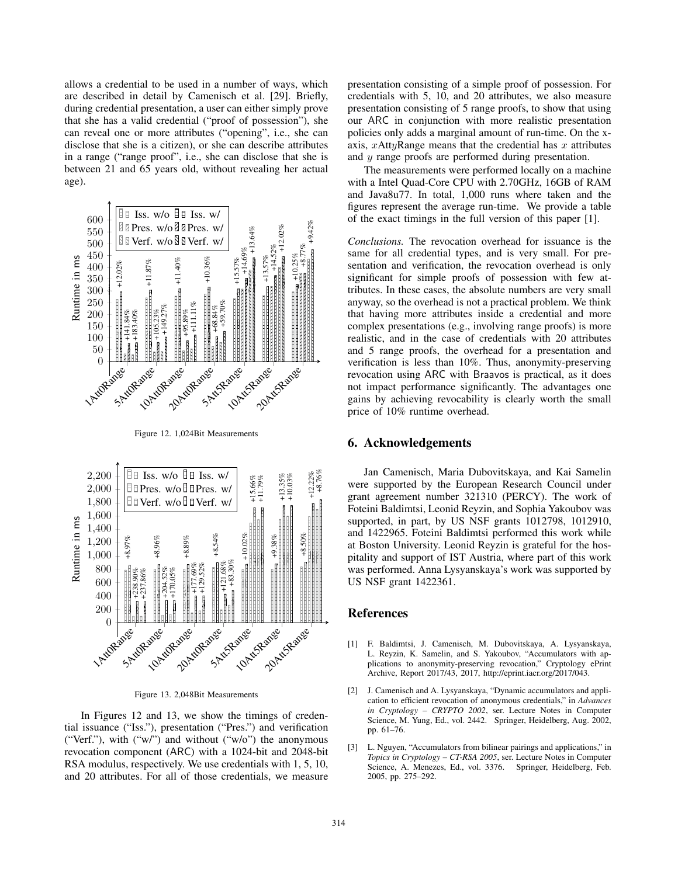allows a credential to be used in a number of ways, which are described in detail by Camenisch et al. [29]. Briefly, during credential presentation, a user can either simply prove that she has a valid credential ("proof of possession"), she can reveal one or more attributes ("opening", i.e., she can disclose that she is a citizen), or she can describe attributes in a range ("range proof", i.e., she can disclose that she is between 21 and 65 years old, without revealing her actual age).



Figure 12. 1,024Bit Measurements



Figure 13. 2,048Bit Measurements

In Figures 12 and 13, we show the timings of credential issuance ("Iss."), presentation ("Pres.") and verification ("Verf."), with (" $w$ ") and without (" $w$ 'o") the anonymous revocation component (ARC) with a 1024-bit and 2048-bit RSA modulus, respectively. We use credentials with 1, 5, 10, and 20 attributes. For all of those credentials, we measure presentation consisting of a simple proof of possession. For credentials with 5, 10, and 20 attributes, we also measure presentation consisting of 5 range proofs, to show that using our ARC in conjunction with more realistic presentation policies only adds a marginal amount of run-time. On the xaxis,  $x$ AttyRange means that the credential has  $x$  attributes and y range proofs are performed during presentation.

The measurements were performed locally on a machine with a Intel Quad-Core CPU with 2.70GHz, 16GB of RAM and Java8u77. In total, 1,000 runs where taken and the figures represent the average run-time. We provide a table of the exact timings in the full version of this paper [1].

*Conclusions.* The revocation overhead for issuance is the same for all credential types, and is very small. For presentation and verification, the revocation overhead is only significant for simple proofs of possession with few attributes. In these cases, the absolute numbers are very small anyway, so the overhead is not a practical problem. We think that having more attributes inside a credential and more complex presentations (e.g., involving range proofs) is more realistic, and in the case of credentials with 20 attributes and 5 range proofs, the overhead for a presentation and verification is less than 10%. Thus, anonymity-preserving revocation using ARC with Braavos is practical, as it does not impact performance significantly. The advantages one gains by achieving revocability is clearly worth the small price of 10% runtime overhead.

### 6. Acknowledgements

Jan Camenisch, Maria Dubovitskaya, and Kai Samelin were supported by the European Research Council under grant agreement number 321310 (PERCY). The work of Foteini Baldimtsi, Leonid Reyzin, and Sophia Yakoubov was supported, in part, by US NSF grants 1012798, 1012910, and 1422965. Foteini Baldimtsi performed this work while at Boston University. Leonid Reyzin is grateful for the hospitality and support of IST Austria, where part of this work was performed. Anna Lysyanskaya's work was supported by US NSF grant 1422361.

### References

- [1] F. Baldimtsi, J. Camenisch, M. Dubovitskaya, A. Lysyanskaya, L. Reyzin, K. Samelin, and S. Yakoubov, "Accumulators with applications to anonymity-preserving revocation," Cryptology ePrint Archive, Report 2017/43, 2017, http://eprint.iacr.org/2017/043.
- [2] J. Camenisch and A. Lysyanskaya, "Dynamic accumulators and application to efficient revocation of anonymous credentials," in *Advances in Cryptology – CRYPTO 2002*, ser. Lecture Notes in Computer Science, M. Yung, Ed., vol. 2442. Springer, Heidelberg, Aug. 2002, pp. 61–76.
- [3] L. Nguyen, "Accumulators from bilinear pairings and applications," in *Topics in Cryptology – CT-RSA 2005*, ser. Lecture Notes in Computer Science, A. Menezes, Ed., vol. 3376. Springer, Heidelberg, Feb. 2005, pp. 275–292.